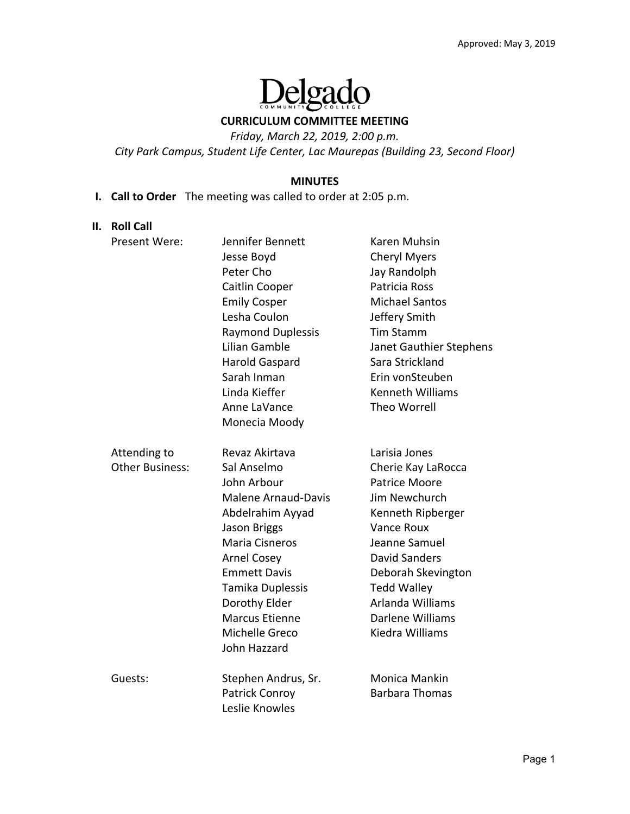

### **CURRICULUM COMMITTEE MEETING**

*Friday, March 22, 2019, 2:00 p.m.* 

*City Park Campus, Student Life Center, Lac Maurepas (Building 23, Second Floor)* 

### **MINUTES**

**I. Call to Order**  The meeting was called to order at 2:05 p.m.

#### **II. Roll Call**

| Present Were:          | Jennifer Bennett           | Karen Muhsin            |
|------------------------|----------------------------|-------------------------|
|                        | Jesse Boyd                 | <b>Cheryl Myers</b>     |
|                        | Peter Cho                  | Jay Randolph            |
|                        | Caitlin Cooper             | Patricia Ross           |
|                        | <b>Emily Cosper</b>        | <b>Michael Santos</b>   |
|                        | Lesha Coulon               | Jeffery Smith           |
|                        | <b>Raymond Duplessis</b>   | <b>Tim Stamm</b>        |
|                        | Lilian Gamble              | Janet Gauthier Stephens |
|                        | Harold Gaspard             | Sara Strickland         |
|                        | Sarah Inman                | Erin vonSteuben         |
|                        | Linda Kieffer              | Kenneth Williams        |
|                        | Anne LaVance               | <b>Theo Worrell</b>     |
|                        | Monecia Moody              |                         |
| Attending to           | Revaz Akirtava             | Larisia Jones           |
| <b>Other Business:</b> | Sal Anselmo                | Cherie Kay LaRocca      |
|                        | John Arbour                | <b>Patrice Moore</b>    |
|                        | <b>Malene Arnaud-Davis</b> | Jim Newchurch           |
|                        | Abdelrahim Ayyad           | Kenneth Ripberger       |
|                        | Jason Briggs               | <b>Vance Roux</b>       |
|                        | <b>Maria Cisneros</b>      | Jeanne Samuel           |
|                        | <b>Arnel Cosey</b>         | <b>David Sanders</b>    |
|                        | <b>Emmett Davis</b>        | Deborah Skevington      |
|                        | Tamika Duplessis           | <b>Tedd Walley</b>      |
|                        | Dorothy Elder              | Arlanda Williams        |
|                        | <b>Marcus Etienne</b>      | Darlene Williams        |
|                        | Michelle Greco             | Kiedra Williams         |
|                        | John Hazzard               |                         |
| Guests:                | Stephen Andrus, Sr.        | <b>Monica Mankin</b>    |
|                        | Patrick Conroy             | <b>Barbara Thomas</b>   |
|                        | Leslie Knowles             |                         |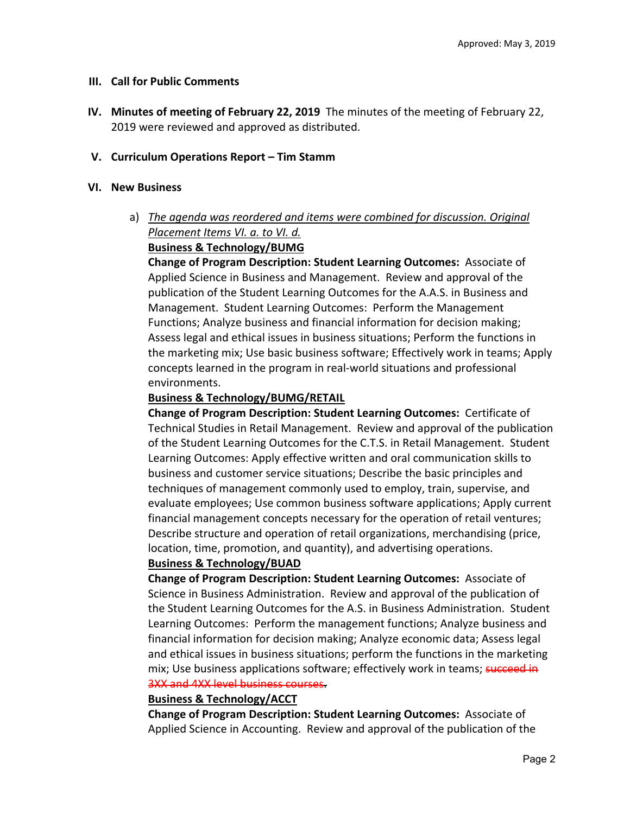## **III. Call for Public Comments**

**IV. Minutes of meeting of February 22, 2019** The minutes of the meeting of February 22, 2019 were reviewed and approved as distributed.

# **V. Curriculum Operations Report – Tim Stamm**

### **VI. New Business**

# a) *The agenda was reordered and items were combined for discussion. Original Placement Items VI. a. to VI. d.*

## **Business & Technology/BUMG**

**Change of Program Description: Student Learning Outcomes:** Associate of Applied Science in Business and Management. Review and approval of the publication of the Student Learning Outcomes for the A.A.S. in Business and Management. Student Learning Outcomes: Perform the Management Functions; Analyze business and financial information for decision making; Assess legal and ethical issues in business situations; Perform the functions in the marketing mix; Use basic business software; Effectively work in teams; Apply concepts learned in the program in real‐world situations and professional environments.

## **Business & Technology/BUMG/RETAIL**

**Change of Program Description: Student Learning Outcomes:** Certificate of Technical Studies in Retail Management. Review and approval of the publication of the Student Learning Outcomes for the C.T.S. in Retail Management. Student Learning Outcomes: Apply effective written and oral communication skills to business and customer service situations; Describe the basic principles and techniques of management commonly used to employ, train, supervise, and evaluate employees; Use common business software applications; Apply current financial management concepts necessary for the operation of retail ventures; Describe structure and operation of retail organizations, merchandising (price, location, time, promotion, and quantity), and advertising operations.

## **Business & Technology/BUAD**

**Change of Program Description: Student Learning Outcomes: Associate of** Science in Business Administration. Review and approval of the publication of the Student Learning Outcomes for the A.S. in Business Administration. Student Learning Outcomes: Perform the management functions; Analyze business and financial information for decision making; Analyze economic data; Assess legal and ethical issues in business situations; perform the functions in the marketing mix; Use business applications software; effectively work in teams; succeed in 3XX and 4XX level business courses.

## **Business & Technology/ACCT**

**Change of Program Description: Student Learning Outcomes:** Associate of Applied Science in Accounting. Review and approval of the publication of the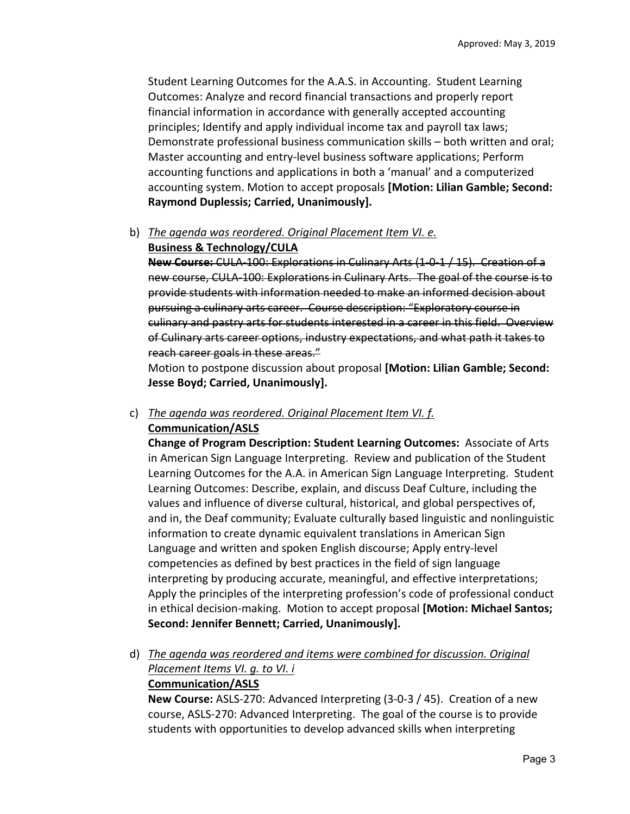Student Learning Outcomes for the A.A.S. in Accounting. Student Learning Outcomes: Analyze and record financial transactions and properly report financial information in accordance with generally accepted accounting principles; Identify and apply individual income tax and payroll tax laws; Demonstrate professional business communication skills – both written and oral; Master accounting and entry‐level business software applications; Perform accounting functions and applications in both a 'manual' and a computerized accounting system. Motion to accept proposals **[Motion: Lilian Gamble; Second: Raymond Duplessis; Carried, Unanimously].**

b) *The agenda was reordered. Original Placement Item VI. e.* 

# **Business & Technology/CULA**

**New Course:** CULA‐100: Explorations in Culinary Arts (1‐0‐1 / 15). Creation of a new course, CULA‐100: Explorations in Culinary Arts. The goal of the course is to provide students with information needed to make an informed decision about pursuing a culinary arts career. Course description: "Exploratory course in culinary and pastry arts for students interested in a career in this field. Overview of Culinary arts career options, industry expectations, and what path it takes to reach career goals in these areas."

Motion to postpone discussion about proposal **[Motion: Lilian Gamble; Second: Jesse Boyd; Carried, Unanimously].**

# c) *The agenda was reordered. Original Placement Item VI. f.*  **Communication/ASLS**

**Change of Program Description: Student Learning Outcomes:**  Associate of Arts in American Sign Language Interpreting. Review and publication of the Student Learning Outcomes for the A.A. in American Sign Language Interpreting. Student Learning Outcomes: Describe, explain, and discuss Deaf Culture, including the values and influence of diverse cultural, historical, and global perspectives of, and in, the Deaf community; Evaluate culturally based linguistic and nonlinguistic information to create dynamic equivalent translations in American Sign Language and written and spoken English discourse; Apply entry‐level competencies as defined by best practices in the field of sign language interpreting by producing accurate, meaningful, and effective interpretations; Apply the principles of the interpreting profession's code of professional conduct in ethical decision‐making. Motion to accept proposal **[Motion: Michael Santos; Second: Jennifer Bennett; Carried, Unanimously].**

d) *The agenda was reordered and items were combined for discussion. Original Placement Items VI. g. to VI. i*  **Communication/ASLS** 

**New Course:** ASLS‐270: Advanced Interpreting (3‐0‐3 / 45). Creation of a new course, ASLS‐270: Advanced Interpreting. The goal of the course is to provide students with opportunities to develop advanced skills when interpreting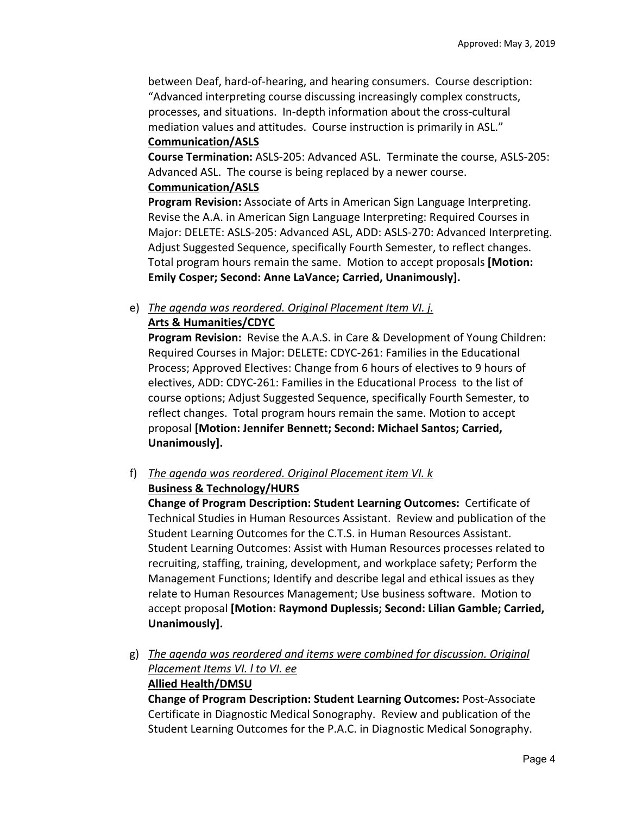between Deaf, hard‐of‐hearing, and hearing consumers. Course description: "Advanced interpreting course discussing increasingly complex constructs, processes, and situations. In‐depth information about the cross‐cultural mediation values and attitudes. Course instruction is primarily in ASL." **Communication/ASLS** 

**Course Termination:** ASLS‐205: Advanced ASL. Terminate the course, ASLS‐205: Advanced ASL. The course is being replaced by a newer course.

# **Communication/ASLS**

**Program Revision:** Associate of Arts in American Sign Language Interpreting. Revise the A.A. in American Sign Language Interpreting: Required Courses in Major: DELETE: ASLS‐205: Advanced ASL, ADD: ASLS‐270: Advanced Interpreting. Adjust Suggested Sequence, specifically Fourth Semester, to reflect changes. Total program hours remain the same. Motion to accept proposals **[Motion: Emily Cosper; Second: Anne LaVance; Carried, Unanimously].**

e) *The agenda was reordered. Original Placement Item VI. j.* 

# **Arts & Humanities/CDYC**

Program Revision: Revise the A.A.S. in Care & Development of Young Children: Required Courses in Major: DELETE: CDYC‐261: Families in the Educational Process; Approved Electives: Change from 6 hours of electives to 9 hours of electives, ADD: CDYC‐261: Families in the Educational Process to the list of course options; Adjust Suggested Sequence, specifically Fourth Semester, to reflect changes. Total program hours remain the same. Motion to accept proposal **[Motion: Jennifer Bennett; Second: Michael Santos; Carried, Unanimously].**

f) *The agenda was reordered. Original Placement item VI. k* 

# **Business & Technology/HURS**

**Change of Program Description: Student Learning Outcomes:**  Certificate of Technical Studies in Human Resources Assistant. Review and publication of the Student Learning Outcomes for the C.T.S. in Human Resources Assistant. Student Learning Outcomes: Assist with Human Resources processes related to recruiting, staffing, training, development, and workplace safety; Perform the Management Functions; Identify and describe legal and ethical issues as they relate to Human Resources Management; Use business software. Motion to accept proposal **[Motion: Raymond Duplessis; Second: Lilian Gamble; Carried, Unanimously].**

g) *The agenda was reordered and items were combined for discussion. Original Placement Items VI. l to VI. ee*  **Allied Health/DMSU** 

**Change of Program Description: Student Learning Outcomes:** Post‐Associate Certificate in Diagnostic Medical Sonography. Review and publication of the Student Learning Outcomes for the P.A.C. in Diagnostic Medical Sonography.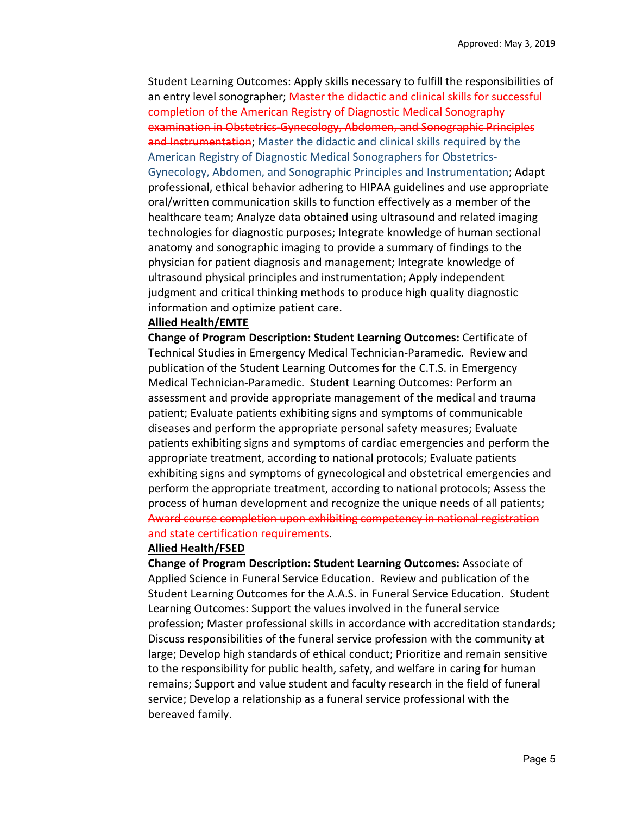Student Learning Outcomes: Apply skills necessary to fulfill the responsibilities of an entry level sonographer; Master the didactic and clinical skills for successful completion of the American Registry of Diagnostic Medical Sonography examination in Obstetrics Gynecology, Abdomen, and Sonographic Principles and Instrumentation; Master the didactic and clinical skills required by the American Registry of Diagnostic Medical Sonographers for Obstetrics‐ Gynecology, Abdomen, and Sonographic Principles and Instrumentation; Adapt professional, ethical behavior adhering to HIPAA guidelines and use appropriate oral/written communication skills to function effectively as a member of the healthcare team; Analyze data obtained using ultrasound and related imaging technologies for diagnostic purposes; Integrate knowledge of human sectional anatomy and sonographic imaging to provide a summary of findings to the physician for patient diagnosis and management; Integrate knowledge of ultrasound physical principles and instrumentation; Apply independent judgment and critical thinking methods to produce high quality diagnostic information and optimize patient care.

#### **Allied Health/EMTE**

**Change of Program Description: Student Learning Outcomes:** Certificate of Technical Studies in Emergency Medical Technician‐Paramedic. Review and publication of the Student Learning Outcomes for the C.T.S. in Emergency Medical Technician‐Paramedic. Student Learning Outcomes: Perform an assessment and provide appropriate management of the medical and trauma patient; Evaluate patients exhibiting signs and symptoms of communicable diseases and perform the appropriate personal safety measures; Evaluate patients exhibiting signs and symptoms of cardiac emergencies and perform the appropriate treatment, according to national protocols; Evaluate patients exhibiting signs and symptoms of gynecological and obstetrical emergencies and perform the appropriate treatment, according to national protocols; Assess the process of human development and recognize the unique needs of all patients; Award course completion upon exhibiting competency in national registration and state certification requirements.

#### **Allied Health/FSED**

**Change of Program Description: Student Learning Outcomes:** Associate of Applied Science in Funeral Service Education. Review and publication of the Student Learning Outcomes for the A.A.S. in Funeral Service Education. Student Learning Outcomes: Support the values involved in the funeral service profession; Master professional skills in accordance with accreditation standards; Discuss responsibilities of the funeral service profession with the community at large; Develop high standards of ethical conduct; Prioritize and remain sensitive to the responsibility for public health, safety, and welfare in caring for human remains; Support and value student and faculty research in the field of funeral service; Develop a relationship as a funeral service professional with the bereaved family.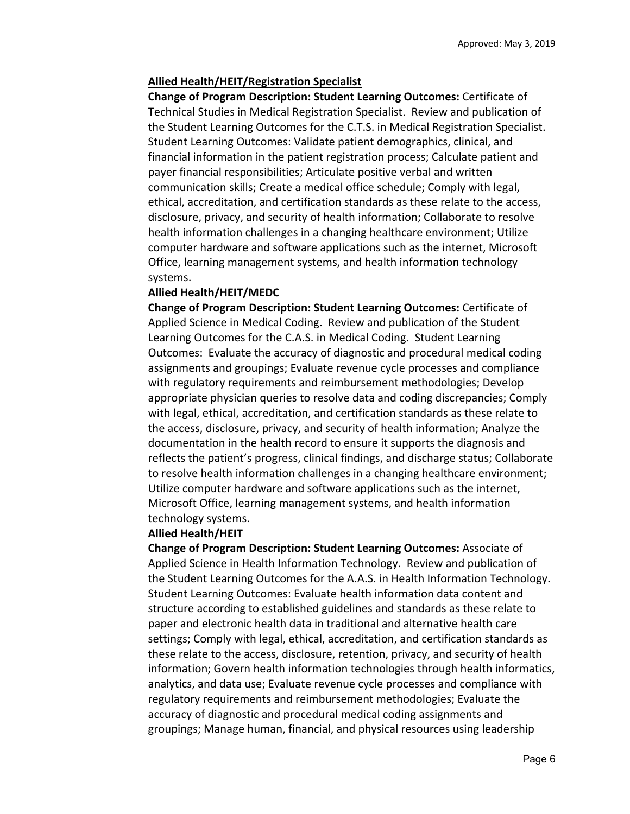### **Allied Health/HEIT/Registration Specialist**

**Change of Program Description: Student Learning Outcomes:** Certificate of Technical Studies in Medical Registration Specialist. Review and publication of the Student Learning Outcomes for the C.T.S. in Medical Registration Specialist. Student Learning Outcomes: Validate patient demographics, clinical, and financial information in the patient registration process; Calculate patient and payer financial responsibilities; Articulate positive verbal and written communication skills; Create a medical office schedule; Comply with legal, ethical, accreditation, and certification standards as these relate to the access, disclosure, privacy, and security of health information; Collaborate to resolve health information challenges in a changing healthcare environment; Utilize computer hardware and software applications such as the internet, Microsoft Office, learning management systems, and health information technology systems.

### **Allied Health/HEIT/MEDC**

**Change of Program Description: Student Learning Outcomes:** Certificate of Applied Science in Medical Coding. Review and publication of the Student Learning Outcomes for the C.A.S. in Medical Coding. Student Learning Outcomes: Evaluate the accuracy of diagnostic and procedural medical coding assignments and groupings; Evaluate revenue cycle processes and compliance with regulatory requirements and reimbursement methodologies; Develop appropriate physician queries to resolve data and coding discrepancies; Comply with legal, ethical, accreditation, and certification standards as these relate to the access, disclosure, privacy, and security of health information; Analyze the documentation in the health record to ensure it supports the diagnosis and reflects the patient's progress, clinical findings, and discharge status; Collaborate to resolve health information challenges in a changing healthcare environment; Utilize computer hardware and software applications such as the internet, Microsoft Office, learning management systems, and health information technology systems.

### **Allied Health/HEIT**

**Change of Program Description: Student Learning Outcomes:** Associate of Applied Science in Health Information Technology. Review and publication of the Student Learning Outcomes for the A.A.S. in Health Information Technology. Student Learning Outcomes: Evaluate health information data content and structure according to established guidelines and standards as these relate to paper and electronic health data in traditional and alternative health care settings; Comply with legal, ethical, accreditation, and certification standards as these relate to the access, disclosure, retention, privacy, and security of health information; Govern health information technologies through health informatics, analytics, and data use; Evaluate revenue cycle processes and compliance with regulatory requirements and reimbursement methodologies; Evaluate the accuracy of diagnostic and procedural medical coding assignments and groupings; Manage human, financial, and physical resources using leadership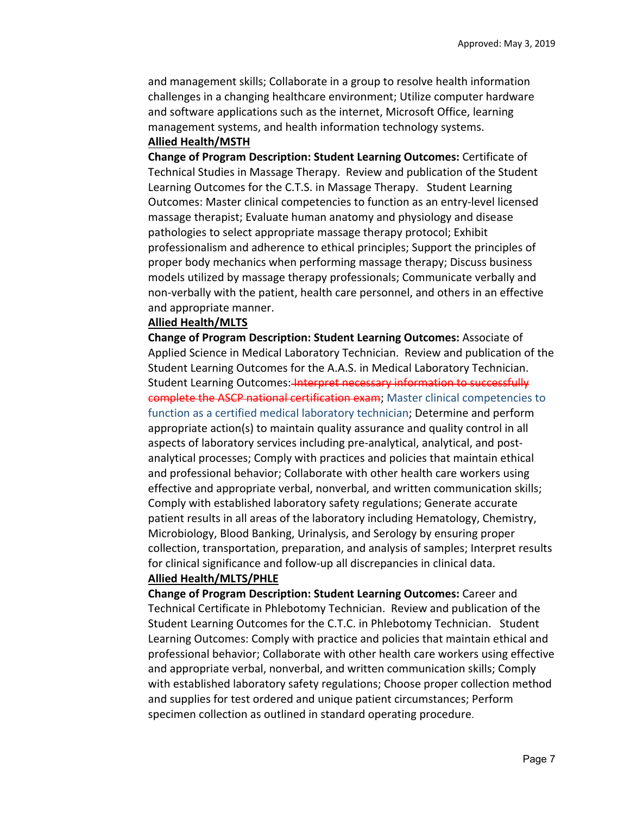and management skills; Collaborate in a group to resolve health information challenges in a changing healthcare environment; Utilize computer hardware and software applications such as the internet, Microsoft Office, learning management systems, and health information technology systems. **Allied Health/MSTH** 

**Change of Program Description: Student Learning Outcomes:** Certificate of Technical Studies in Massage Therapy. Review and publication of the Student Learning Outcomes for the C.T.S. in Massage Therapy. Student Learning Outcomes: Master clinical competencies to function as an entry‐level licensed massage therapist; Evaluate human anatomy and physiology and disease pathologies to select appropriate massage therapy protocol; Exhibit professionalism and adherence to ethical principles; Support the principles of proper body mechanics when performing massage therapy; Discuss business models utilized by massage therapy professionals; Communicate verbally and non‐verbally with the patient, health care personnel, and others in an effective and appropriate manner.

#### **Allied Health/MLTS**

**Change of Program Description: Student Learning Outcomes:** Associate of Applied Science in Medical Laboratory Technician. Review and publication of the Student Learning Outcomes for the A.A.S. in Medical Laboratory Technician. Student Learning Outcomes: Interpret necessary information to successfully complete the ASCP national certification exam; Master clinical competencies to function as a certified medical laboratory technician; Determine and perform appropriate action(s) to maintain quality assurance and quality control in all aspects of laboratory services including pre‐analytical, analytical, and post‐ analytical processes; Comply with practices and policies that maintain ethical and professional behavior; Collaborate with other health care workers using effective and appropriate verbal, nonverbal, and written communication skills; Comply with established laboratory safety regulations; Generate accurate patient results in all areas of the laboratory including Hematology, Chemistry, Microbiology, Blood Banking, Urinalysis, and Serology by ensuring proper collection, transportation, preparation, and analysis of samples; Interpret results for clinical significance and follow‐up all discrepancies in clinical data.

### **Allied Health/MLTS/PHLE**

**Change of Program Description: Student Learning Outcomes:** Career and Technical Certificate in Phlebotomy Technician. Review and publication of the Student Learning Outcomes for the C.T.C. in Phlebotomy Technician. Student Learning Outcomes: Comply with practice and policies that maintain ethical and professional behavior; Collaborate with other health care workers using effective and appropriate verbal, nonverbal, and written communication skills; Comply with established laboratory safety regulations; Choose proper collection method and supplies for test ordered and unique patient circumstances; Perform specimen collection as outlined in standard operating procedure.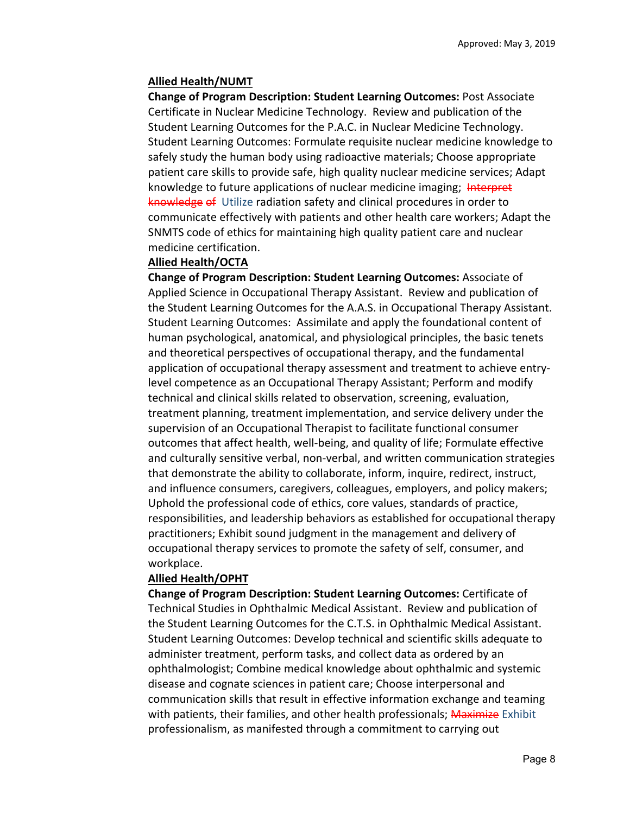## **Allied Health/NUMT**

**Change of Program Description: Student Learning Outcomes:** Post Associate Certificate in Nuclear Medicine Technology. Review and publication of the Student Learning Outcomes for the P.A.C. in Nuclear Medicine Technology. Student Learning Outcomes: Formulate requisite nuclear medicine knowledge to safely study the human body using radioactive materials; Choose appropriate patient care skills to provide safe, high quality nuclear medicine services; Adapt knowledge to future applications of nuclear medicine imaging; Interpret knowledge of Utilize radiation safety and clinical procedures in order to communicate effectively with patients and other health care workers; Adapt the SNMTS code of ethics for maintaining high quality patient care and nuclear medicine certification.

## **Allied Health/OCTA**

**Change of Program Description: Student Learning Outcomes:** Associate of Applied Science in Occupational Therapy Assistant. Review and publication of the Student Learning Outcomes for the A.A.S. in Occupational Therapy Assistant. Student Learning Outcomes: Assimilate and apply the foundational content of human psychological, anatomical, and physiological principles, the basic tenets and theoretical perspectives of occupational therapy, and the fundamental application of occupational therapy assessment and treatment to achieve entry‐ level competence as an Occupational Therapy Assistant; Perform and modify technical and clinical skills related to observation, screening, evaluation, treatment planning, treatment implementation, and service delivery under the supervision of an Occupational Therapist to facilitate functional consumer outcomes that affect health, well‐being, and quality of life; Formulate effective and culturally sensitive verbal, non‐verbal, and written communication strategies that demonstrate the ability to collaborate, inform, inquire, redirect, instruct, and influence consumers, caregivers, colleagues, employers, and policy makers; Uphold the professional code of ethics, core values, standards of practice, responsibilities, and leadership behaviors as established for occupational therapy practitioners; Exhibit sound judgment in the management and delivery of occupational therapy services to promote the safety of self, consumer, and workplace.

### **Allied Health/OPHT**

**Change of Program Description: Student Learning Outcomes:** Certificate of Technical Studies in Ophthalmic Medical Assistant. Review and publication of the Student Learning Outcomes for the C.T.S. in Ophthalmic Medical Assistant. Student Learning Outcomes: Develop technical and scientific skills adequate to administer treatment, perform tasks, and collect data as ordered by an ophthalmologist; Combine medical knowledge about ophthalmic and systemic disease and cognate sciences in patient care; Choose interpersonal and communication skills that result in effective information exchange and teaming with patients, their families, and other health professionals; Maximize Exhibit professionalism, as manifested through a commitment to carrying out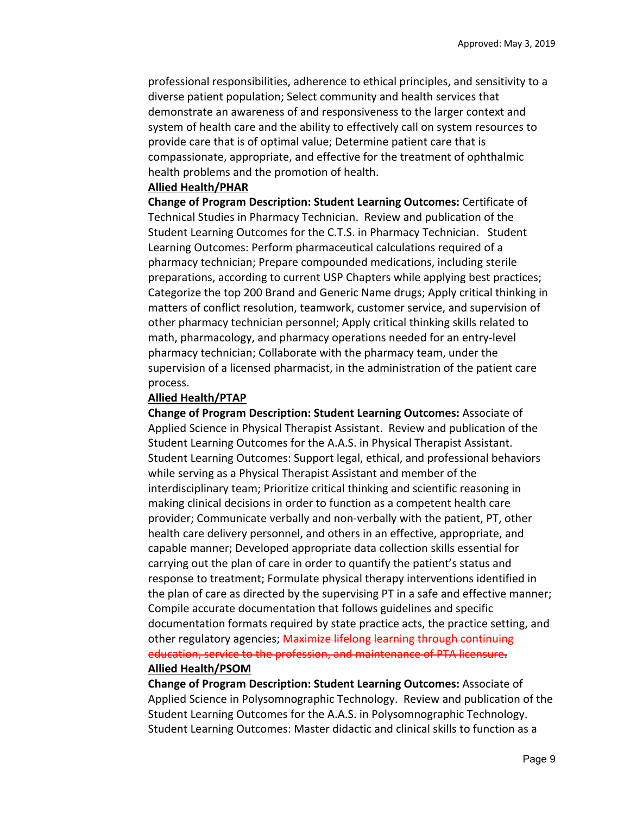professional responsibilities, adherence to ethical principles, and sensitivity to a diverse patient population; Select community and health services that demonstrate an awareness of and responsiveness to the larger context and system of health care and the ability to effectively call on system resources to provide care that is of optimal value; Determine patient care that is compassionate, appropriate, and effective for the treatment of ophthalmic health problems and the promotion of health.

#### **Allied Health/PHAR**

**Change of Program Description: Student Learning Outcomes:** Certificate of Technical Studies in Pharmacy Technician. Review and publication of the Student Learning Outcomes for the C.T.S. in Pharmacy Technician. Student Learning Outcomes: Perform pharmaceutical calculations required of a pharmacy technician; Prepare compounded medications, including sterile preparations, according to current USP Chapters while applying best practices; Categorize the top 200 Brand and Generic Name drugs; Apply critical thinking in matters of conflict resolution, teamwork, customer service, and supervision of other pharmacy technician personnel; Apply critical thinking skills related to math, pharmacology, and pharmacy operations needed for an entry‐level pharmacy technician; Collaborate with the pharmacy team, under the supervision of a licensed pharmacist, in the administration of the patient care process.

### **Allied Health/PTAP**

**Change of Program Description: Student Learning Outcomes:** Associate of Applied Science in Physical Therapist Assistant. Review and publication of the Student Learning Outcomes for the A.A.S. in Physical Therapist Assistant. Student Learning Outcomes: Support legal, ethical, and professional behaviors while serving as a Physical Therapist Assistant and member of the interdisciplinary team; Prioritize critical thinking and scientific reasoning in making clinical decisions in order to function as a competent health care provider; Communicate verbally and non‐verbally with the patient, PT, other health care delivery personnel, and others in an effective, appropriate, and capable manner; Developed appropriate data collection skills essential for carrying out the plan of care in order to quantify the patient's status and response to treatment; Formulate physical therapy interventions identified in the plan of care as directed by the supervising PT in a safe and effective manner; Compile accurate documentation that follows guidelines and specific documentation formats required by state practice acts, the practice setting, and other regulatory agencies; Maximize lifelong learning through continuing education, service to the profession, and maintenance of PTA licensure.

### **Allied Health/PSOM**

**Change of Program Description: Student Learning Outcomes:** Associate of Applied Science in Polysomnographic Technology. Review and publication of the Student Learning Outcomes for the A.A.S. in Polysomnographic Technology. Student Learning Outcomes: Master didactic and clinical skills to function as a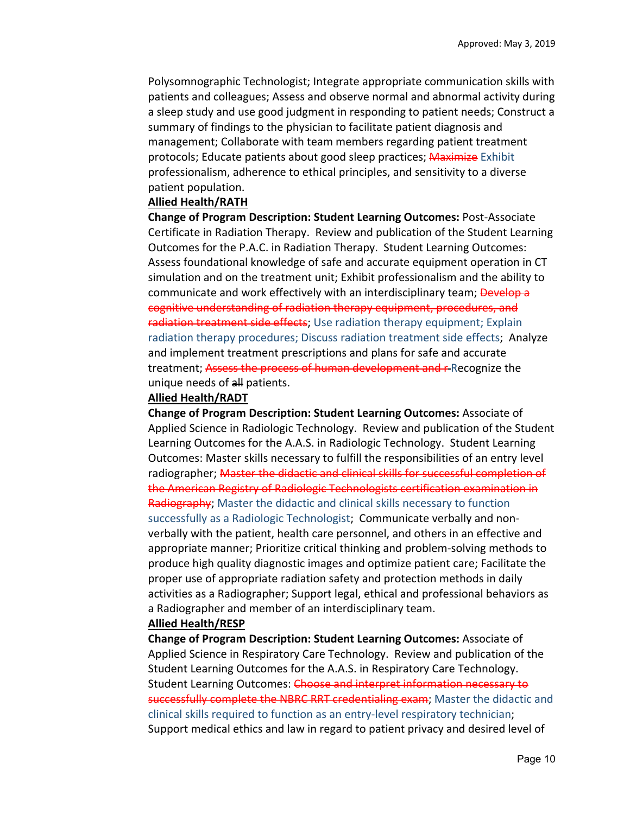Polysomnographic Technologist; Integrate appropriate communication skills with patients and colleagues; Assess and observe normal and abnormal activity during a sleep study and use good judgment in responding to patient needs; Construct a summary of findings to the physician to facilitate patient diagnosis and management; Collaborate with team members regarding patient treatment protocols; Educate patients about good sleep practices; Maximize Exhibit professionalism, adherence to ethical principles, and sensitivity to a diverse patient population.

### **Allied Health/RATH**

**Change of Program Description: Student Learning Outcomes:** Post‐Associate Certificate in Radiation Therapy. Review and publication of the Student Learning Outcomes for the P.A.C. in Radiation Therapy. Student Learning Outcomes: Assess foundational knowledge of safe and accurate equipment operation in CT simulation and on the treatment unit; Exhibit professionalism and the ability to communicate and work effectively with an interdisciplinary team; Develop a cognitive understanding of radiation therapy equipment, procedures, and radiation treatment side effects; Use radiation therapy equipment; Explain radiation therapy procedures; Discuss radiation treatment side effects; Analyze and implement treatment prescriptions and plans for safe and accurate treatment; Assess the process of human development and r Recognize the unique needs of all patients.

### **Allied Health/RADT**

**Change of Program Description: Student Learning Outcomes:** Associate of Applied Science in Radiologic Technology. Review and publication of the Student Learning Outcomes for the A.A.S. in Radiologic Technology. Student Learning Outcomes: Master skills necessary to fulfill the responsibilities of an entry level radiographer; Master the didactic and clinical skills for successful completion of the American Registry of Radiologic Technologists certification examination in Radiography; Master the didactic and clinical skills necessary to function successfully as a Radiologic Technologist; Communicate verbally and non‐ verbally with the patient, health care personnel, and others in an effective and appropriate manner; Prioritize critical thinking and problem‐solving methods to produce high quality diagnostic images and optimize patient care; Facilitate the proper use of appropriate radiation safety and protection methods in daily activities as a Radiographer; Support legal, ethical and professional behaviors as a Radiographer and member of an interdisciplinary team. **Allied Health/RESP** 

**Change of Program Description: Student Learning Outcomes:** Associate of Applied Science in Respiratory Care Technology. Review and publication of the Student Learning Outcomes for the A.A.S. in Respiratory Care Technology. Student Learning Outcomes: Choose and interpret information necessary to successfully complete the NBRC RRT credentialing exam; Master the didactic and clinical skills required to function as an entry‐level respiratory technician; Support medical ethics and law in regard to patient privacy and desired level of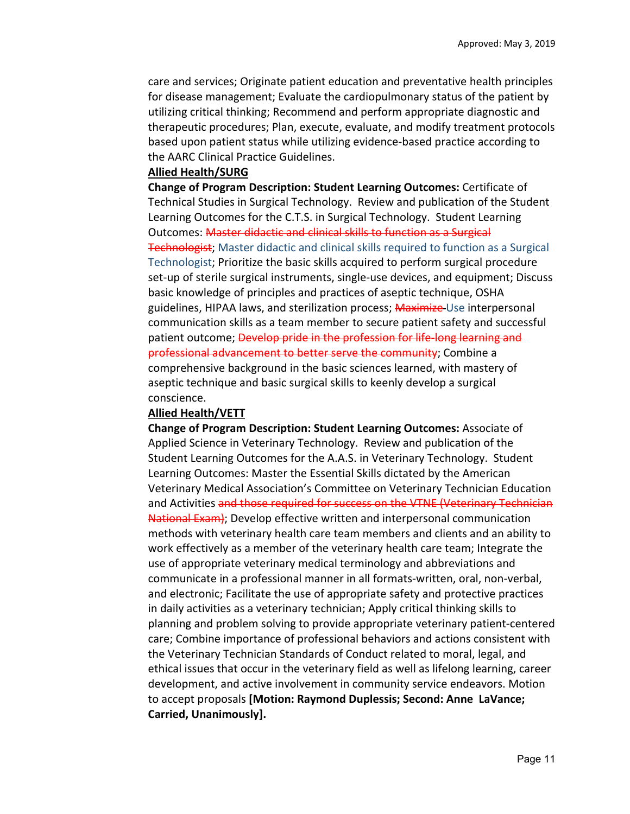care and services; Originate patient education and preventative health principles for disease management; Evaluate the cardiopulmonary status of the patient by utilizing critical thinking; Recommend and perform appropriate diagnostic and therapeutic procedures; Plan, execute, evaluate, and modify treatment protocols based upon patient status while utilizing evidence‐based practice according to the AARC Clinical Practice Guidelines.

#### **Allied Health/SURG**

**Change of Program Description: Student Learning Outcomes:** Certificate of Technical Studies in Surgical Technology. Review and publication of the Student Learning Outcomes for the C.T.S. in Surgical Technology. Student Learning Outcomes: Master didactic and clinical skills to function as a Surgical **Technologist;** Master didactic and clinical skills required to function as a Surgical Technologist; Prioritize the basic skills acquired to perform surgical procedure set-up of sterile surgical instruments, single-use devices, and equipment; Discuss basic knowledge of principles and practices of aseptic technique, OSHA guidelines, HIPAA laws, and sterilization process; **Maximize** Use interpersonal communication skills as a team member to secure patient safety and successful patient outcome; Develop pride in the profession for life-long learning and professional advancement to better serve the community; Combine a comprehensive background in the basic sciences learned, with mastery of aseptic technique and basic surgical skills to keenly develop a surgical conscience.

### **Allied Health/VETT**

**Change of Program Description: Student Learning Outcomes:** Associate of Applied Science in Veterinary Technology. Review and publication of the Student Learning Outcomes for the A.A.S. in Veterinary Technology. Student Learning Outcomes: Master the Essential Skills dictated by the American Veterinary Medical Association's Committee on Veterinary Technician Education and Activities and those required for success on the VTNE (Veterinary Technician National Exam); Develop effective written and interpersonal communication methods with veterinary health care team members and clients and an ability to work effectively as a member of the veterinary health care team; Integrate the use of appropriate veterinary medical terminology and abbreviations and communicate in a professional manner in all formats‐written, oral, non‐verbal, and electronic; Facilitate the use of appropriate safety and protective practices in daily activities as a veterinary technician; Apply critical thinking skills to planning and problem solving to provide appropriate veterinary patient‐centered care; Combine importance of professional behaviors and actions consistent with the Veterinary Technician Standards of Conduct related to moral, legal, and ethical issues that occur in the veterinary field as well as lifelong learning, career development, and active involvement in community service endeavors. Motion to accept proposals **[Motion: Raymond Duplessis; Second: Anne LaVance; Carried, Unanimously].**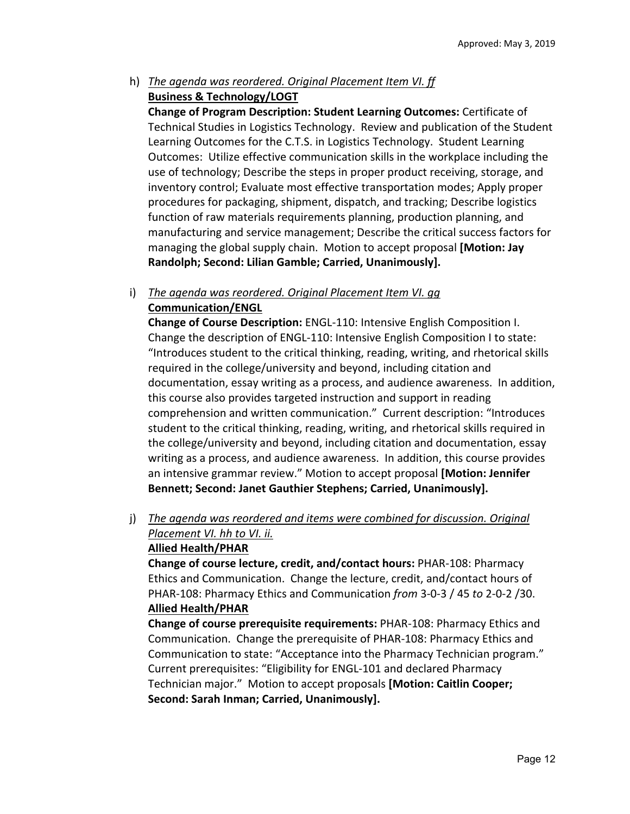# h) *The agenda was reordered. Original Placement Item VI. ff*  **Business & Technology/LOGT**

**Change of Program Description: Student Learning Outcomes:** Certificate of Technical Studies in Logistics Technology. Review and publication of the Student Learning Outcomes for the C.T.S. in Logistics Technology. Student Learning Outcomes: Utilize effective communication skills in the workplace including the use of technology; Describe the steps in proper product receiving, storage, and inventory control; Evaluate most effective transportation modes; Apply proper procedures for packaging, shipment, dispatch, and tracking; Describe logistics function of raw materials requirements planning, production planning, and manufacturing and service management; Describe the critical success factors for managing the global supply chain. Motion to accept proposal **[Motion: Jay Randolph; Second: Lilian Gamble; Carried, Unanimously].**

# i) *The agenda was reordered. Original Placement Item VI. gg*  **Communication/ENGL**

**Change of Course Description:** ENGL‐110: Intensive English Composition I. Change the description of ENGL‐110: Intensive English Composition I to state: "Introduces student to the critical thinking, reading, writing, and rhetorical skills required in the college/university and beyond, including citation and documentation, essay writing as a process, and audience awareness. In addition, this course also provides targeted instruction and support in reading comprehension and written communication." Current description: "Introduces student to the critical thinking, reading, writing, and rhetorical skills required in the college/university and beyond, including citation and documentation, essay writing as a process, and audience awareness. In addition, this course provides an intensive grammar review." Motion to accept proposal **[Motion: Jennifer Bennett; Second: Janet Gauthier Stephens; Carried, Unanimously].**

# j) *The agenda was reordered and items were combined for discussion. Original Placement VI. hh to VI. ii.*  **Allied Health/PHAR**

**Change of course lecture, credit, and/contact hours:** PHAR‐108: Pharmacy Ethics and Communication. Change the lecture, credit, and/contact hours of PHAR‐108: Pharmacy Ethics and Communication *from* 3‐0‐3 / 45 *to* 2‐0‐2 /30. **Allied Health/PHAR** 

**Change of course prerequisite requirements:** PHAR‐108: Pharmacy Ethics and Communication. Change the prerequisite of PHAR‐108: Pharmacy Ethics and Communication to state: "Acceptance into the Pharmacy Technician program." Current prerequisites: "Eligibility for ENGL‐101 and declared Pharmacy Technician major." Motion to accept proposals **[Motion: Caitlin Cooper; Second: Sarah Inman; Carried, Unanimously].**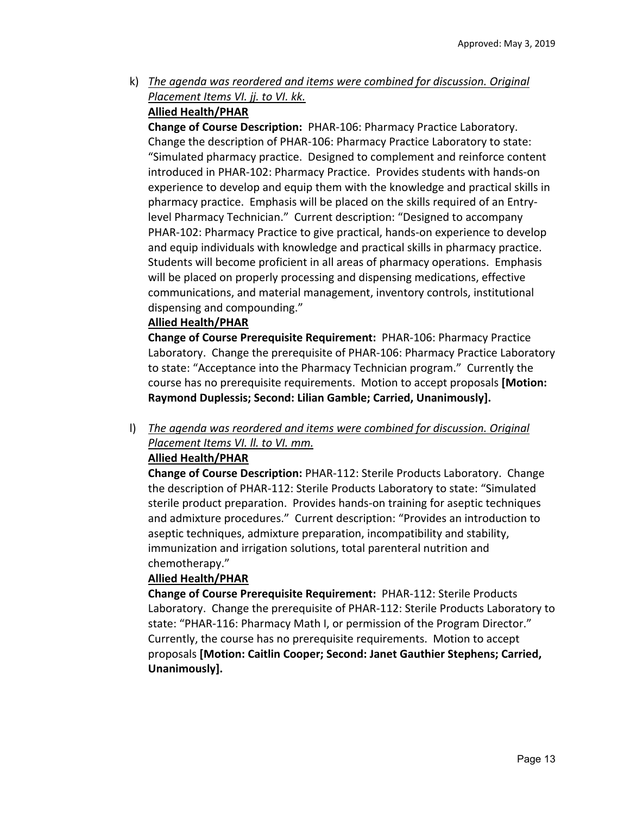k) *The agenda was reordered and items were combined for discussion. Original Placement Items VI. jj. to VI. kk.* 

# **Allied Health/PHAR**

**Change of Course Description: PHAR-106: Pharmacy Practice Laboratory.** Change the description of PHAR‐106: Pharmacy Practice Laboratory to state: "Simulated pharmacy practice. Designed to complement and reinforce content introduced in PHAR‐102: Pharmacy Practice. Provides students with hands‐on experience to develop and equip them with the knowledge and practical skills in pharmacy practice. Emphasis will be placed on the skills required of an Entry‐ level Pharmacy Technician." Current description: "Designed to accompany PHAR‐102: Pharmacy Practice to give practical, hands‐on experience to develop and equip individuals with knowledge and practical skills in pharmacy practice. Students will become proficient in all areas of pharmacy operations. Emphasis will be placed on properly processing and dispensing medications, effective communications, and material management, inventory controls, institutional dispensing and compounding."

# **Allied Health/PHAR**

**Change of Course Prerequisite Requirement:** PHAR‐106: Pharmacy Practice Laboratory. Change the prerequisite of PHAR‐106: Pharmacy Practice Laboratory to state: "Acceptance into the Pharmacy Technician program." Currently the course has no prerequisite requirements. Motion to accept proposals **[Motion: Raymond Duplessis; Second: Lilian Gamble; Carried, Unanimously].**

l) *The agenda was reordered and items were combined for discussion. Original Placement Items VI. ll. to VI. mm.* 

# **Allied Health/PHAR**

**Change of Course Description:** PHAR‐112: Sterile Products Laboratory. Change the description of PHAR‐112: Sterile Products Laboratory to state: "Simulated sterile product preparation. Provides hands‐on training for aseptic techniques and admixture procedures." Current description: "Provides an introduction to aseptic techniques, admixture preparation, incompatibility and stability, immunization and irrigation solutions, total parenteral nutrition and chemotherapy."

# **Allied Health/PHAR**

**Change of Course Prerequisite Requirement:** PHAR‐112: Sterile Products Laboratory. Change the prerequisite of PHAR‐112: Sterile Products Laboratory to state: "PHAR‐116: Pharmacy Math I, or permission of the Program Director." Currently, the course has no prerequisite requirements. Motion to accept proposals **[Motion: Caitlin Cooper; Second: Janet Gauthier Stephens; Carried, Unanimously].**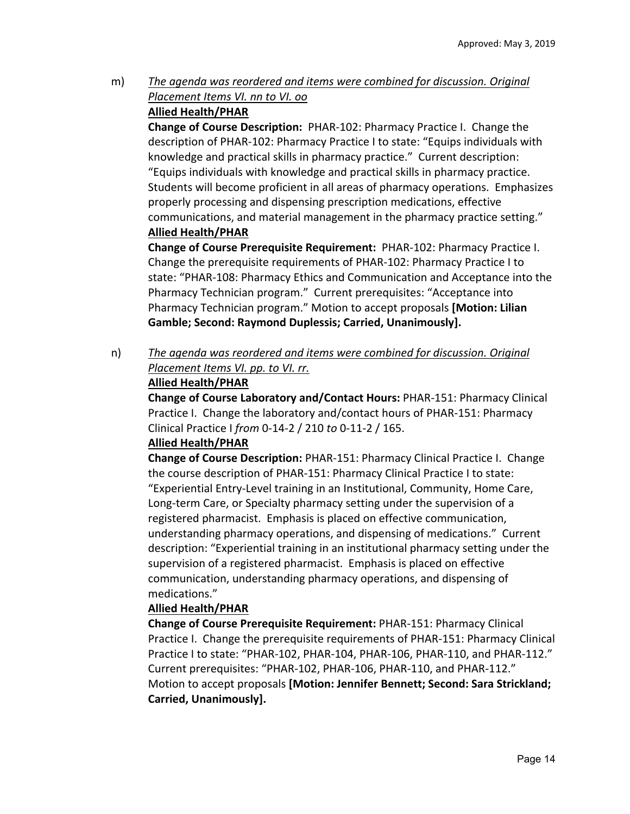m) *The agenda was reordered and items were combined for discussion. Original Placement Items VI. nn to VI. oo* 

# **Allied Health/PHAR**

**Change of Course Description:** PHAR‐102: Pharmacy Practice I. Change the description of PHAR‐102: Pharmacy Practice I to state: "Equips individuals with knowledge and practical skills in pharmacy practice." Current description: "Equips individuals with knowledge and practical skills in pharmacy practice. Students will become proficient in all areas of pharmacy operations. Emphasizes properly processing and dispensing prescription medications, effective communications, and material management in the pharmacy practice setting." **Allied Health/PHAR**

**Change of Course Prerequisite Requirement:** PHAR‐102: Pharmacy Practice I. Change the prerequisite requirements of PHAR‐102: Pharmacy Practice I to state: "PHAR‐108: Pharmacy Ethics and Communication and Acceptance into the Pharmacy Technician program." Current prerequisites: "Acceptance into Pharmacy Technician program." Motion to accept proposals **[Motion: Lilian Gamble; Second: Raymond Duplessis; Carried, Unanimously].**

n) *The agenda was reordered and items were combined for discussion. Original Placement Items VI. pp. to VI. rr.* 

# **Allied Health/PHAR**

**Change of Course Laboratory and/Contact Hours:** PHAR‐151: Pharmacy Clinical Practice I. Change the laboratory and/contact hours of PHAR‐151: Pharmacy Clinical Practice I *from* 0‐14‐2 / 210 *to* 0‐11‐2 / 165.

# **Allied Health/PHAR**

**Change of Course Description:** PHAR‐151: Pharmacy Clinical Practice I. Change the course description of PHAR‐151: Pharmacy Clinical Practice I to state: "Experiential Entry‐Level training in an Institutional, Community, Home Care, Long‐term Care, or Specialty pharmacy setting under the supervision of a registered pharmacist. Emphasis is placed on effective communication, understanding pharmacy operations, and dispensing of medications." Current description: "Experiential training in an institutional pharmacy setting under the supervision of a registered pharmacist. Emphasis is placed on effective communication, understanding pharmacy operations, and dispensing of medications."

# **Allied Health/PHAR**

**Change of Course Prerequisite Requirement:** PHAR‐151: Pharmacy Clinical Practice I. Change the prerequisite requirements of PHAR‐151: Pharmacy Clinical Practice I to state: "PHAR‐102, PHAR‐104, PHAR‐106, PHAR‐110, and PHAR‐112." Current prerequisites: "PHAR‐102, PHAR‐106, PHAR‐110, and PHAR‐112." Motion to accept proposals **[Motion: Jennifer Bennett; Second: Sara Strickland; Carried, Unanimously].**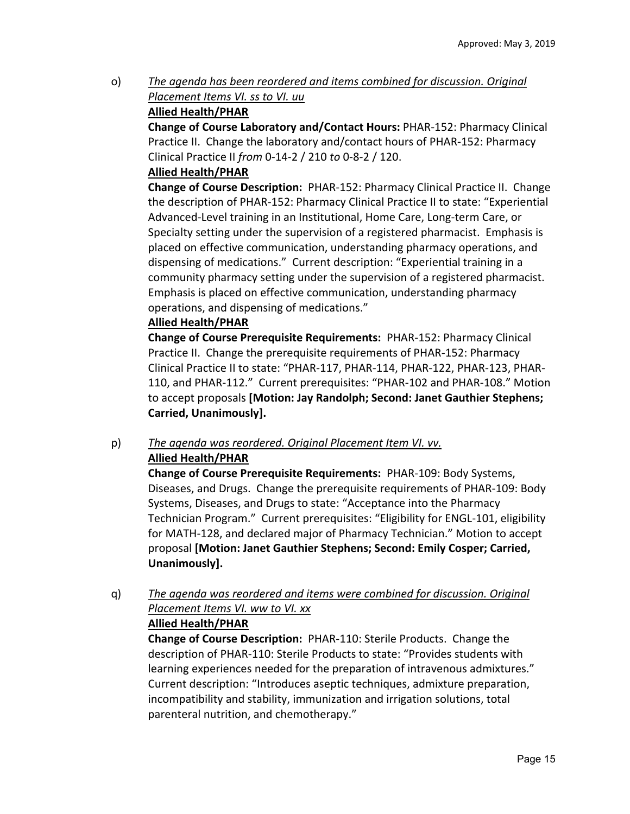o) *The agenda has been reordered and items combined for discussion. Original Placement Items VI. ss to VI. uu* 

# **Allied Health/PHAR**

**Change of Course Laboratory and/Contact Hours:** PHAR‐152: Pharmacy Clinical Practice II. Change the laboratory and/contact hours of PHAR‐152: Pharmacy Clinical Practice II *from* 0‐14‐2 / 210 *to* 0‐8‐2 / 120.

# **Allied Health/PHAR**

**Change of Course Description:** PHAR‐152: Pharmacy Clinical Practice II. Change the description of PHAR‐152: Pharmacy Clinical Practice II to state: "Experiential Advanced‐Level training in an Institutional, Home Care, Long‐term Care, or Specialty setting under the supervision of a registered pharmacist. Emphasis is placed on effective communication, understanding pharmacy operations, and dispensing of medications." Current description: "Experiential training in a community pharmacy setting under the supervision of a registered pharmacist. Emphasis is placed on effective communication, understanding pharmacy operations, and dispensing of medications."

# **Allied Health/PHAR**

**Change of Course Prerequisite Requirements:** PHAR‐152: Pharmacy Clinical Practice II. Change the prerequisite requirements of PHAR‐152: Pharmacy Clinical Practice II to state: "PHAR‐117, PHAR‐114, PHAR‐122, PHAR‐123, PHAR‐ 110, and PHAR‐112." Current prerequisites: "PHAR‐102 and PHAR‐108." Motion to accept proposals **[Motion: Jay Randolph; Second: Janet Gauthier Stephens; Carried, Unanimously].**

# p) *The agenda was reordered. Original Placement Item VI. vv.*  **Allied Health/PHAR**

**Change of Course Prerequisite Requirements: PHAR-109: Body Systems,** Diseases, and Drugs. Change the prerequisite requirements of PHAR‐109: Body Systems, Diseases, and Drugs to state: "Acceptance into the Pharmacy Technician Program." Current prerequisites: "Eligibility for ENGL‐101, eligibility for MATH‐128, and declared major of Pharmacy Technician." Motion to accept proposal **[Motion: Janet Gauthier Stephens; Second: Emily Cosper; Carried, Unanimously].**

q) *The agenda was reordered and items were combined for discussion. Original Placement Items VI. ww to VI. xx* 

# **Allied Health/PHAR**

**Change of Course Description:** PHAR‐110: Sterile Products. Change the description of PHAR‐110: Sterile Products to state: "Provides students with learning experiences needed for the preparation of intravenous admixtures." Current description: "Introduces aseptic techniques, admixture preparation, incompatibility and stability, immunization and irrigation solutions, total parenteral nutrition, and chemotherapy."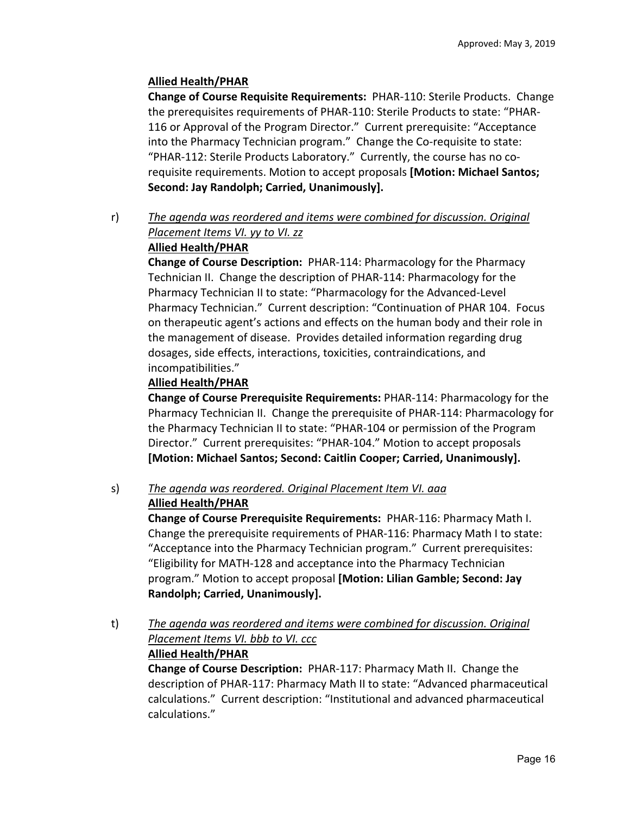# **Allied Health/PHAR**

**Change of Course Requisite Requirements:** PHAR‐110: Sterile Products. Change the prerequisites requirements of PHAR‐110: Sterile Products to state: "PHAR‐ 116 or Approval of the Program Director." Current prerequisite: "Acceptance into the Pharmacy Technician program." Change the Co-requisite to state: "PHAR‐112: Sterile Products Laboratory." Currently, the course has no co‐ requisite requirements. Motion to accept proposals **[Motion: Michael Santos; Second: Jay Randolph; Carried, Unanimously].**

r) *The agenda was reordered and items were combined for discussion. Original Placement Items VI. yy to VI. zz* 

# **Allied Health/PHAR**

**Change of Course Description:** PHAR‐114: Pharmacology for the Pharmacy Technician II. Change the description of PHAR‐114: Pharmacology for the Pharmacy Technician II to state: "Pharmacology for the Advanced‐Level Pharmacy Technician." Current description: "Continuation of PHAR 104. Focus on therapeutic agent's actions and effects on the human body and their role in the management of disease. Provides detailed information regarding drug dosages, side effects, interactions, toxicities, contraindications, and incompatibilities."

# **Allied Health/PHAR**

**Change of Course Prerequisite Requirements:** PHAR‐114: Pharmacology for the Pharmacy Technician II. Change the prerequisite of PHAR‐114: Pharmacology for the Pharmacy Technician II to state: "PHAR‐104 or permission of the Program Director." Current prerequisites: "PHAR‐104." Motion to accept proposals **[Motion: Michael Santos; Second: Caitlin Cooper; Carried, Unanimously].**

### s) *The agenda was reordered. Original Placement Item VI. aaa*  **Allied Health/PHAR**

**Change of Course Prerequisite Requirements:** PHAR‐116: Pharmacy Math I. Change the prerequisite requirements of PHAR‐116: Pharmacy Math I to state: "Acceptance into the Pharmacy Technician program." Current prerequisites: "Eligibility for MATH‐128 and acceptance into the Pharmacy Technician program." Motion to accept proposal **[Motion: Lilian Gamble; Second: Jay Randolph; Carried, Unanimously].**

t) *The agenda was reordered and items were combined for discussion. Original Placement Items VI. bbb to VI. ccc*  **Allied Health/PHAR**

**Change of Course Description: PHAR-117: Pharmacy Math II. Change the** description of PHAR‐117: Pharmacy Math II to state: "Advanced pharmaceutical calculations." Current description: "Institutional and advanced pharmaceutical calculations."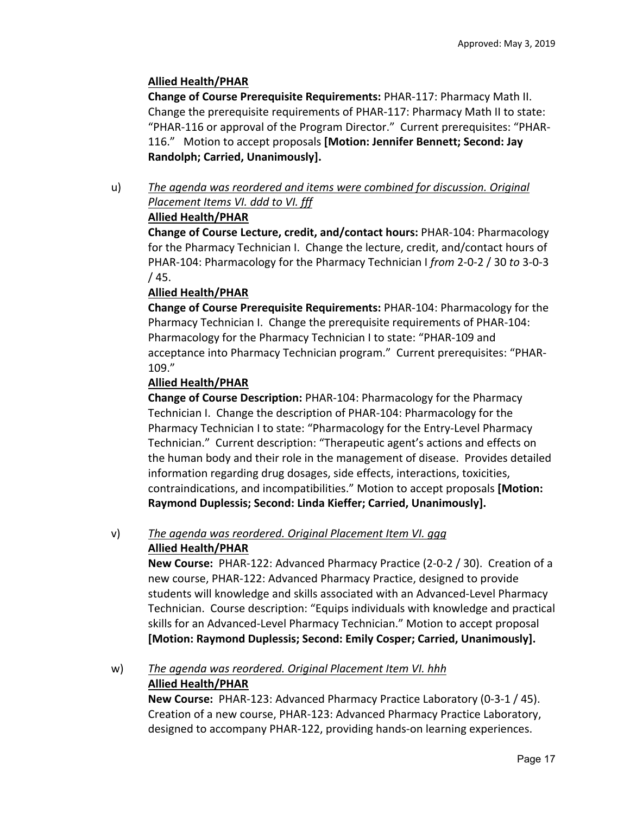# **Allied Health/PHAR**

**Change of Course Prerequisite Requirements:** PHAR‐117: Pharmacy Math II. Change the prerequisite requirements of PHAR‐117: Pharmacy Math II to state: "PHAR‐116 or approval of the Program Director." Current prerequisites: "PHAR‐ 116." Motion to accept proposals **[Motion: Jennifer Bennett; Second: Jay Randolph; Carried, Unanimously].** 

u) *The agenda was reordered and items were combined for discussion. Original Placement Items VI. ddd to VI. fff* 

# **Allied Health/PHAR**

**Change of Course Lecture, credit, and/contact hours:** PHAR‐104: Pharmacology for the Pharmacy Technician I. Change the lecture, credit, and/contact hours of PHAR‐104: Pharmacology for the Pharmacy Technician I *from* 2‐0‐2 / 30 *to* 3‐0‐3 / 45.

# **Allied Health/PHAR**

**Change of Course Prerequisite Requirements:** PHAR‐104: Pharmacology for the Pharmacy Technician I. Change the prerequisite requirements of PHAR‐104: Pharmacology for the Pharmacy Technician I to state: "PHAR‐109 and acceptance into Pharmacy Technician program." Current prerequisites: "PHAR‐ 109."

# **Allied Health/PHAR**

**Change of Course Description:** PHAR‐104: Pharmacology for the Pharmacy Technician I. Change the description of PHAR‐104: Pharmacology for the Pharmacy Technician I to state: "Pharmacology for the Entry‐Level Pharmacy Technician." Current description: "Therapeutic agent's actions and effects on the human body and their role in the management of disease. Provides detailed information regarding drug dosages, side effects, interactions, toxicities, contraindications, and incompatibilities." Motion to accept proposals **[Motion: Raymond Duplessis; Second: Linda Kieffer; Carried, Unanimously].**

## v) *The agenda was reordered. Original Placement Item VI. ggg*  **Allied Health/PHAR**

**New Course:** PHAR‐122: Advanced Pharmacy Practice (2‐0‐2 / 30). Creation of a new course, PHAR‐122: Advanced Pharmacy Practice, designed to provide students will knowledge and skills associated with an Advanced‐Level Pharmacy Technician. Course description: "Equips individuals with knowledge and practical skills for an Advanced‐Level Pharmacy Technician." Motion to accept proposal **[Motion: Raymond Duplessis; Second: Emily Cosper; Carried, Unanimously].**

# w) *The agenda was reordered. Original Placement Item VI. hhh*  **Allied Health/PHAR**

**New Course:** PHAR‐123: Advanced Pharmacy Practice Laboratory (0‐3‐1 / 45). Creation of a new course, PHAR‐123: Advanced Pharmacy Practice Laboratory, designed to accompany PHAR‐122, providing hands‐on learning experiences.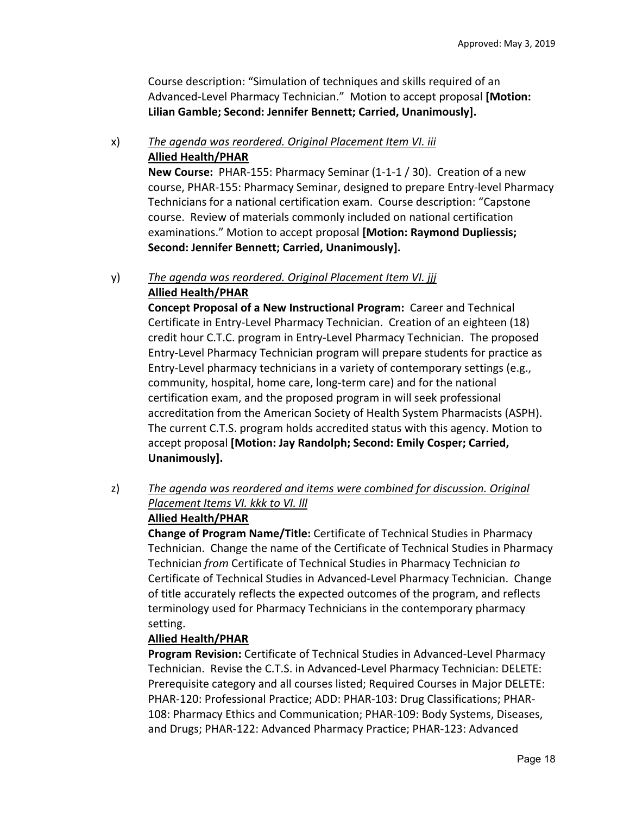Course description: "Simulation of techniques and skills required of an Advanced‐Level Pharmacy Technician." Motion to accept proposal **[Motion: Lilian Gamble; Second: Jennifer Bennett; Carried, Unanimously].**

# x) *The agenda was reordered. Original Placement Item VI. iii*  **Allied Health/PHAR**

**New Course: PHAR-155: Pharmacy Seminar (1-1-1 / 30). Creation of a new** course, PHAR‐155: Pharmacy Seminar, designed to prepare Entry‐level Pharmacy Technicians for a national certification exam. Course description: "Capstone course. Review of materials commonly included on national certification examinations." Motion to accept proposal **[Motion: Raymond Dupliessis; Second: Jennifer Bennett; Carried, Unanimously].**

# y) *The agenda was reordered. Original Placement Item VI. jjj*  **Allied Health/PHAR**

**Concept Proposal of a New Instructional Program: Career and Technical** Certificate in Entry‐Level Pharmacy Technician. Creation of an eighteen (18) credit hour C.T.C. program in Entry‐Level Pharmacy Technician. The proposed Entry‐Level Pharmacy Technician program will prepare students for practice as Entry‐Level pharmacy technicians in a variety of contemporary settings (e.g., community, hospital, home care, long‐term care) and for the national certification exam, and the proposed program in will seek professional accreditation from the American Society of Health System Pharmacists (ASPH). The current C.T.S. program holds accredited status with this agency. Motion to accept proposal **[Motion: Jay Randolph; Second: Emily Cosper; Carried, Unanimously].**

# z) *The agenda was reordered and items were combined for discussion. Original Placement Items VI. kkk to VI. lll*

# **Allied Health/PHAR**

**Change of Program Name/Title:** Certificate of Technical Studies in Pharmacy Technician. Change the name of the Certificate of Technical Studies in Pharmacy Technician *from* Certificate of Technical Studies in Pharmacy Technician *to* Certificate of Technical Studies in Advanced‐Level Pharmacy Technician. Change of title accurately reflects the expected outcomes of the program, and reflects terminology used for Pharmacy Technicians in the contemporary pharmacy setting.

# **Allied Health/PHAR**

**Program Revision:** Certificate of Technical Studies in Advanced‐Level Pharmacy Technician. Revise the C.T.S. in Advanced‐Level Pharmacy Technician: DELETE: Prerequisite category and all courses listed; Required Courses in Major DELETE: PHAR‐120: Professional Practice; ADD: PHAR‐103: Drug Classifications; PHAR‐ 108: Pharmacy Ethics and Communication; PHAR‐109: Body Systems, Diseases, and Drugs; PHAR‐122: Advanced Pharmacy Practice; PHAR‐123: Advanced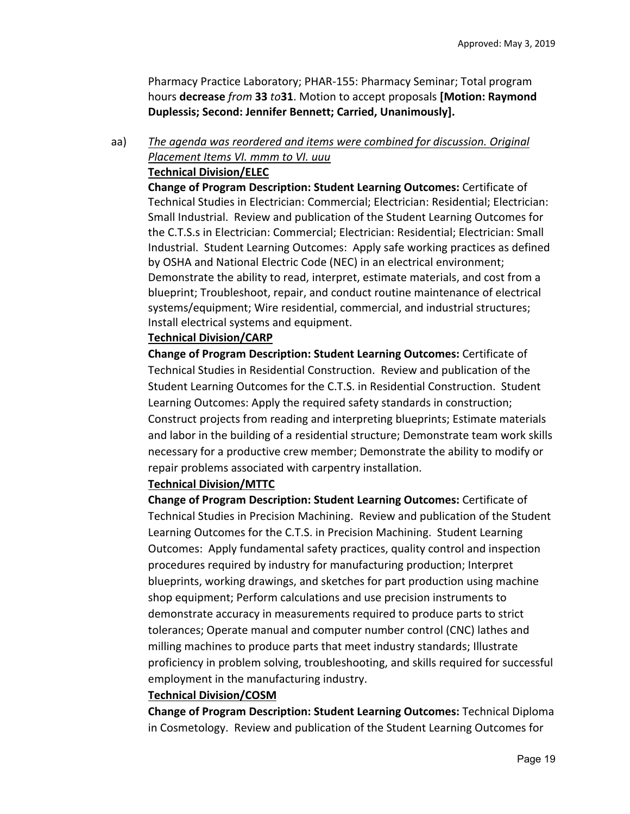Pharmacy Practice Laboratory; PHAR‐155: Pharmacy Seminar; Total program hours **decrease** *from* **33** *to***31**. Motion to accept proposals **[Motion: Raymond Duplessis; Second: Jennifer Bennett; Carried, Unanimously].**

# aa) *The agenda was reordered and items were combined for discussion. Original Placement Items VI. mmm to VI. uuu*

## **Technical Division/ELEC**

**Change of Program Description: Student Learning Outcomes:** Certificate of Technical Studies in Electrician: Commercial; Electrician: Residential; Electrician: Small Industrial. Review and publication of the Student Learning Outcomes for the C.T.S.s in Electrician: Commercial; Electrician: Residential; Electrician: Small Industrial. Student Learning Outcomes: Apply safe working practices as defined by OSHA and National Electric Code (NEC) in an electrical environment; Demonstrate the ability to read, interpret, estimate materials, and cost from a blueprint; Troubleshoot, repair, and conduct routine maintenance of electrical systems/equipment; Wire residential, commercial, and industrial structures; Install electrical systems and equipment.

## **Technical Division/CARP**

**Change of Program Description: Student Learning Outcomes:** Certificate of Technical Studies in Residential Construction. Review and publication of the Student Learning Outcomes for the C.T.S. in Residential Construction. Student Learning Outcomes: Apply the required safety standards in construction; Construct projects from reading and interpreting blueprints; Estimate materials and labor in the building of a residential structure; Demonstrate team work skills necessary for a productive crew member; Demonstrate the ability to modify or repair problems associated with carpentry installation.

## **Technical Division/MTTC**

**Change of Program Description: Student Learning Outcomes:** Certificate of Technical Studies in Precision Machining. Review and publication of the Student Learning Outcomes for the C.T.S. in Precision Machining. Student Learning Outcomes: Apply fundamental safety practices, quality control and inspection procedures required by industry for manufacturing production; Interpret blueprints, working drawings, and sketches for part production using machine shop equipment; Perform calculations and use precision instruments to demonstrate accuracy in measurements required to produce parts to strict tolerances; Operate manual and computer number control (CNC) lathes and milling machines to produce parts that meet industry standards; Illustrate proficiency in problem solving, troubleshooting, and skills required for successful employment in the manufacturing industry.

### **Technical Division/COSM**

**Change of Program Description: Student Learning Outcomes:** Technical Diploma in Cosmetology. Review and publication of the Student Learning Outcomes for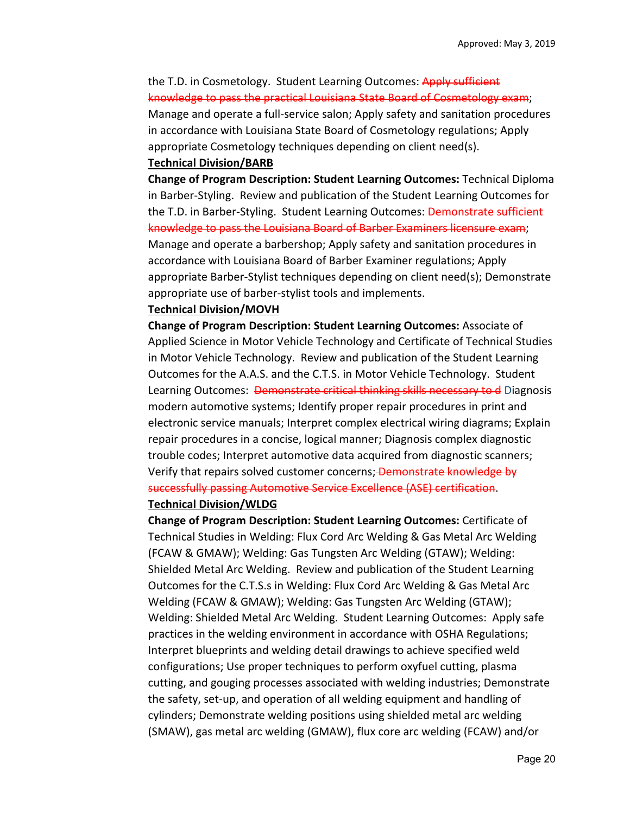# the T.D. in Cosmetology. Student Learning Outcomes: Apply sufficient knowledge to pass the practical Louisiana State Board of Cosmetology exam; Manage and operate a full‐service salon; Apply safety and sanitation procedures in accordance with Louisiana State Board of Cosmetology regulations; Apply

appropriate Cosmetology techniques depending on client need(s). **Technical Division/BARB** 

# **Change of Program Description: Student Learning Outcomes:** Technical Diploma in Barber‐Styling. Review and publication of the Student Learning Outcomes for the T.D. in Barber-Styling. Student Learning Outcomes: Demonstrate sufficient knowledge to pass the Louisiana Board of Barber Examiners licensure exam; Manage and operate a barbershop; Apply safety and sanitation procedures in accordance with Louisiana Board of Barber Examiner regulations; Apply appropriate Barber‐Stylist techniques depending on client need(s); Demonstrate appropriate use of barber‐stylist tools and implements.

#### **Technical Division/MOVH**

**Change of Program Description: Student Learning Outcomes:** Associate of Applied Science in Motor Vehicle Technology and Certificate of Technical Studies in Motor Vehicle Technology. Review and publication of the Student Learning Outcomes for the A.A.S. and the C.T.S. in Motor Vehicle Technology. Student Learning Outcomes: Demonstrate critical thinking skills necessary to d Diagnosis modern automotive systems; Identify proper repair procedures in print and electronic service manuals; Interpret complex electrical wiring diagrams; Explain repair procedures in a concise, logical manner; Diagnosis complex diagnostic trouble codes; Interpret automotive data acquired from diagnostic scanners; Verify that repairs solved customer concerns; Demonstrate knowledge by successfully passing Automotive Service Excellence (ASE) certification.

### **Technical Division/WLDG**

**Change of Program Description: Student Learning Outcomes:** Certificate of Technical Studies in Welding: Flux Cord Arc Welding & Gas Metal Arc Welding (FCAW & GMAW); Welding: Gas Tungsten Arc Welding (GTAW); Welding: Shielded Metal Arc Welding. Review and publication of the Student Learning Outcomes for the C.T.S.s in Welding: Flux Cord Arc Welding & Gas Metal Arc Welding (FCAW & GMAW); Welding: Gas Tungsten Arc Welding (GTAW); Welding: Shielded Metal Arc Welding. Student Learning Outcomes: Apply safe practices in the welding environment in accordance with OSHA Regulations; Interpret blueprints and welding detail drawings to achieve specified weld configurations; Use proper techniques to perform oxyfuel cutting, plasma cutting, and gouging processes associated with welding industries; Demonstrate the safety, set‐up, and operation of all welding equipment and handling of cylinders; Demonstrate welding positions using shielded metal arc welding (SMAW), gas metal arc welding (GMAW), flux core arc welding (FCAW) and/or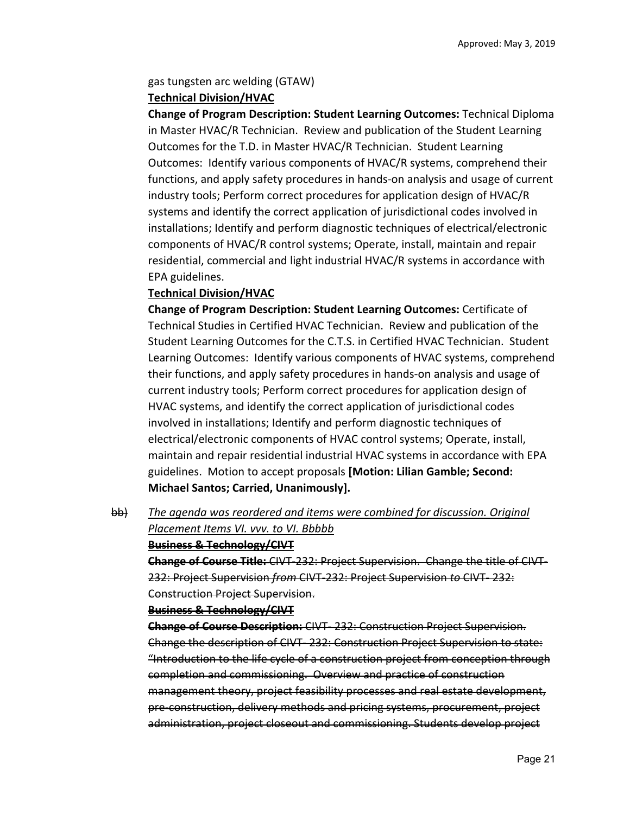### gas tungsten arc welding (GTAW) **Technical Division/HVAC**

**Change of Program Description: Student Learning Outcomes:** Technical Diploma in Master HVAC/R Technician. Review and publication of the Student Learning Outcomes for the T.D. in Master HVAC/R Technician. Student Learning Outcomes: Identify various components of HVAC/R systems, comprehend their functions, and apply safety procedures in hands‐on analysis and usage of current industry tools; Perform correct procedures for application design of HVAC/R systems and identify the correct application of jurisdictional codes involved in installations; Identify and perform diagnostic techniques of electrical/electronic components of HVAC/R control systems; Operate, install, maintain and repair residential, commercial and light industrial HVAC/R systems in accordance with EPA guidelines.

# **Technical Division/HVAC**

**Change of Program Description: Student Learning Outcomes:** Certificate of Technical Studies in Certified HVAC Technician. Review and publication of the Student Learning Outcomes for the C.T.S. in Certified HVAC Technician. Student Learning Outcomes: Identify various components of HVAC systems, comprehend their functions, and apply safety procedures in hands‐on analysis and usage of current industry tools; Perform correct procedures for application design of HVAC systems, and identify the correct application of jurisdictional codes involved in installations; Identify and perform diagnostic techniques of electrical/electronic components of HVAC control systems; Operate, install, maintain and repair residential industrial HVAC systems in accordance with EPA guidelines. Motion to accept proposals **[Motion: Lilian Gamble; Second: Michael Santos; Carried, Unanimously].**

bb) *The agenda was reordered and items were combined for discussion. Original Placement Items VI. vvv. to VI. Bbbbb* 

### **Business & Technology/CIVT**

**Change of Course Title:** CIVT‐232: Project Supervision. Change the title of CIVT‐ 232: Project Supervision *from* CIVT‐232: Project Supervision *to* CIVT‐ 232: Construction Project Supervision.

**Business & Technology/CIVT** 

**Change of Course Description:** CIVT‐ 232: Construction Project Supervision. Change the description of CIVT‐ 232: Construction Project Supervision to state: "Introduction to the life cycle of a construction project from conception through completion and commissioning. Overview and practice of construction management theory, project feasibility processes and real estate development, pre‐construction, delivery methods and pricing systems, procurement, project administration, project closeout and commissioning. Students develop project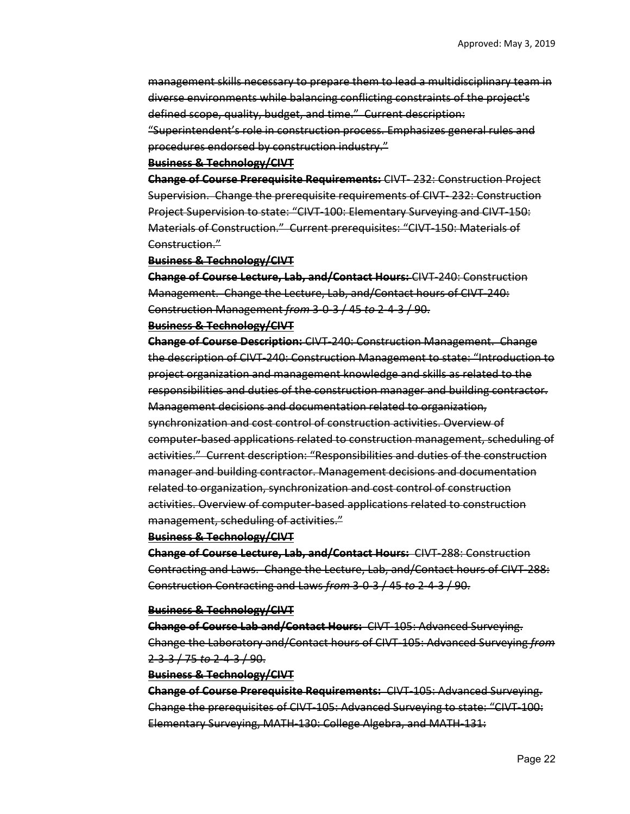management skills necessary to prepare them to lead a multidisciplinary team in diverse environments while balancing conflicting constraints of the project's defined scope, quality, budget, and time." Current description: "Superintendent's role in construction process. Emphasizes general rules and

procedures endorsed by construction industry."

#### **Business & Technology/CIVT**

**Change of Course Prerequisite Requirements:** CIVT‐ 232: Construction Project Supervision. Change the prerequisite requirements of CIVT‐ 232: Construction Project Supervision to state: "CIVT‐100: Elementary Surveying and CIVT‐150: Materials of Construction." Current prerequisites: "CIVT‐150: Materials of Construction."

#### **Business & Technology/CIVT**

**Change of Course Lecture, Lab, and/Contact Hours:** CIVT‐240: Construction Management. Change the Lecture, Lab, and/Contact hours of CIVT‐240: Construction Management *from* 3‐0‐3 / 45 *to* 2‐4‐3 / 90.

#### **Business & Technology/CIVT**

**Change of Course Description:** CIVT‐240: Construction Management. Change the description of CIVT‐240: Construction Management to state: "Introduction to project organization and management knowledge and skills as related to the responsibilities and duties of the construction manager and building contractor. Management decisions and documentation related to organization, synchronization and cost control of construction activities. Overview of computer‐based applications related to construction management, scheduling of activities." Current description: "Responsibilities and duties of the construction manager and building contractor. Management decisions and documentation related to organization, synchronization and cost control of construction activities. Overview of computer‐based applications related to construction management, scheduling of activities."

#### **Business & Technology/CIVT**

**Change of Course Lecture, Lab, and/Contact Hours:** CIVT‐288: Construction Contracting and Laws. Change the Lecture, Lab, and/Contact hours of CIVT‐288: Construction Contracting and Laws *from* 3‐0‐3 / 45 *to* 2‐4‐3 / 90.

#### **Business & Technology/CIVT**

**Change of Course Lab and/Contact Hours:** CIVT‐105: Advanced Surveying. Change the Laboratory and/Contact hours of CIVT‐105: Advanced Surveying *from* 2‐3‐3 / 75 *to* 2‐4‐3 / 90.

### **Business & Technology/CIVT**

**Change of Course Prerequisite Requirements:** CIVT‐105: Advanced Surveying. Change the prerequisites of CIVT‐105: Advanced Surveying to state: "CIVT‐100: Elementary Surveying, MATH‐130: College Algebra, and MATH‐131: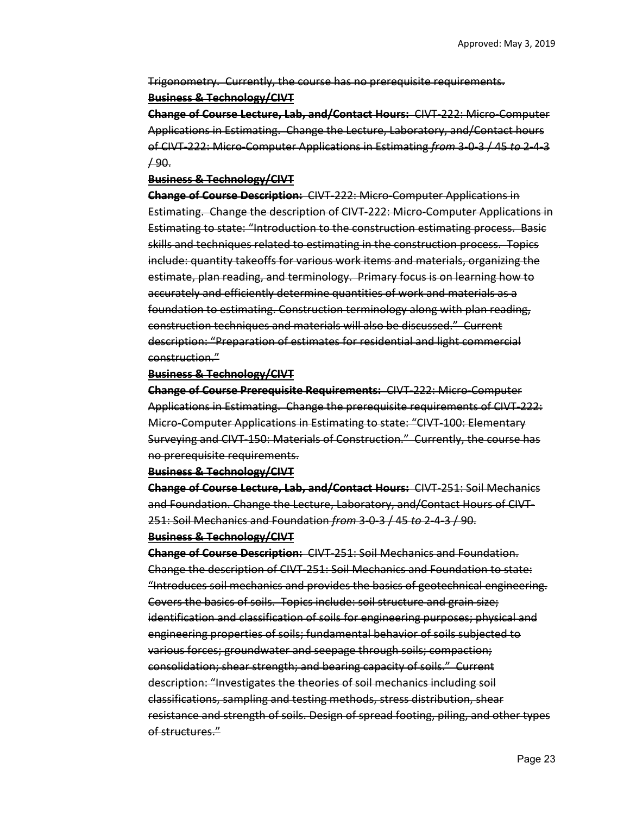Trigonometry. Currently, the course has no prerequisite requirements. **Business & Technology/CIVT** 

**Change of Course Lecture, Lab, and/Contact Hours:** CIVT‐222: Micro‐Computer Applications in Estimating. Change the Lecture, Laboratory, and/Contact hours of CIVT‐222: Micro‐Computer Applications in Estimating *from* 3‐0‐3 / 45 *to* 2‐4‐3 / 90.

#### **Business & Technology/CIVT**

**Change of Course Description:** CIVT‐222: Micro‐Computer Applications in Estimating. Change the description of CIVT 222: Micro Computer Applications in Estimating to state: "Introduction to the construction estimating process. Basic skills and techniques related to estimating in the construction process. Topics include: quantity takeoffs for various work items and materials, organizing the estimate, plan reading, and terminology. Primary focus is on learning how to accurately and efficiently determine quantities of work and materials as a foundation to estimating. Construction terminology along with plan reading, construction techniques and materials will also be discussed." Current description: "Preparation of estimates for residential and light commercial construction."

#### **Business & Technology/CIVT**

**Change of Course Prerequisite Requirements:** CIVT‐222: Micro‐Computer Applications in Estimating. Change the prerequisite requirements of CIVT‐222: Micro–Computer Applications in Estimating to state: "CIVT-100: Elementary Surveying and CIVT‐150: Materials of Construction." Currently, the course has no prerequisite requirements.

### **Business & Technology/CIVT**

**Change of Course Lecture, Lab, and/Contact Hours:** CIVT‐251: Soil Mechanics and Foundation. Change the Lecture, Laboratory, and/Contact Hours of CIVT‐ 251: Soil Mechanics and Foundation *from* 3‐0‐3 / 45 *to* 2‐4‐3 / 90.

#### **Business & Technology/CIVT**

**Change of Course Description:** CIVT‐251: Soil Mechanics and Foundation. Change the description of CIVT‐251: Soil Mechanics and Foundation to state: "Introduces soil mechanics and provides the basics of geotechnical engineering. Covers the basics of soils. Topics include: soil structure and grain size; identification and classification of soils for engineering purposes; physical and engineering properties of soils; fundamental behavior of soils subjected to various forces; groundwater and seepage through soils; compaction; consolidation; shear strength; and bearing capacity of soils." Current description: "Investigates the theories of soil mechanics including soil classifications, sampling and testing methods, stress distribution, shear resistance and strength of soils. Design of spread footing, piling, and other types of structures."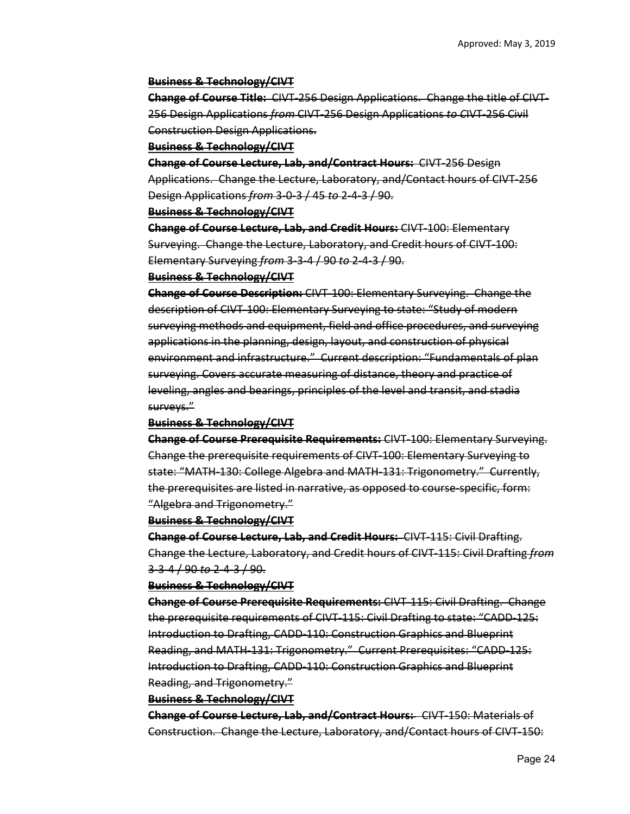#### **Business & Technology/CIVT**

**Change of Course Title:** CIVT‐256 Design Applications. Change the title of CIVT‐ 256 Design Applications *from* CIVT‐256 Design Applications *to C*IVT‐256 Civil Construction Design Applications.

#### **Business & Technology/CIVT**

**Change of Course Lecture, Lab, and/Contract Hours:** CIVT‐256 Design Applications. Change the Lecture, Laboratory, and/Contact hours of CIVT‐256 Design Applications *from* 3‐0‐3 / 45 *to* 2‐4‐3 / 90.

#### **Business & Technology/CIVT**

**Change of Course Lecture, Lab, and Credit Hours:** CIVT‐100: Elementary Surveying. Change the Lecture, Laboratory, and Credit hours of CIVT‐100: Elementary Surveying *from* 3‐3‐4 / 90 *to* 2‐4‐3 / 90.

#### **Business & Technology/CIVT**

**Change of Course Description:** CIVT‐100: Elementary Surveying. Change the description of CIVT‐100: Elementary Surveying to state: "Study of modern surveying methods and equipment, field and office procedures, and surveying applications in the planning, design, layout, and construction of physical environment and infrastructure." Current description: "Fundamentals of plan surveying. Covers accurate measuring of distance, theory and practice of leveling, angles and bearings, principles of the level and transit, and stadia surveys."

#### **Business & Technology/CIVT**

**Change of Course Prerequisite Requirements:** CIVT‐100: Elementary Surveying. Change the prerequisite requirements of CIVT‐100: Elementary Surveying to state: "MATH‐130: College Algebra and MATH‐131: Trigonometry." Currently, the prerequisites are listed in narrative, as opposed to course‐specific, form: "Algebra and Trigonometry."

#### **Business & Technology/CIVT**

**Change of Course Lecture, Lab, and Credit Hours:** CIVT‐115: Civil Drafting. Change the Lecture, Laboratory, and Credit hours of CIVT‐115: Civil Drafting *from* 3‐3‐4 / 90 *to* 2‐4‐3 / 90.

#### **Business & Technology/CIVT**

**Change of Course Prerequisite Requirements:** CIVT‐115: Civil Drafting. Change the prerequisite requirements of CIVT‐115: Civil Drafting to state: "CADD‐125: Introduction to Drafting, CADD‐110: Construction Graphics and Blueprint Reading, and MATH‐131: Trigonometry." Current Prerequisites: "CADD‐125: Introduction to Drafting, CADD‐110: Construction Graphics and Blueprint Reading, and Trigonometry."

#### **Business & Technology/CIVT**

**Change of Course Lecture, Lab, and/Contract Hours:**  CIVT‐150: Materials of Construction. Change the Lecture, Laboratory, and/Contact hours of CIVT‐150: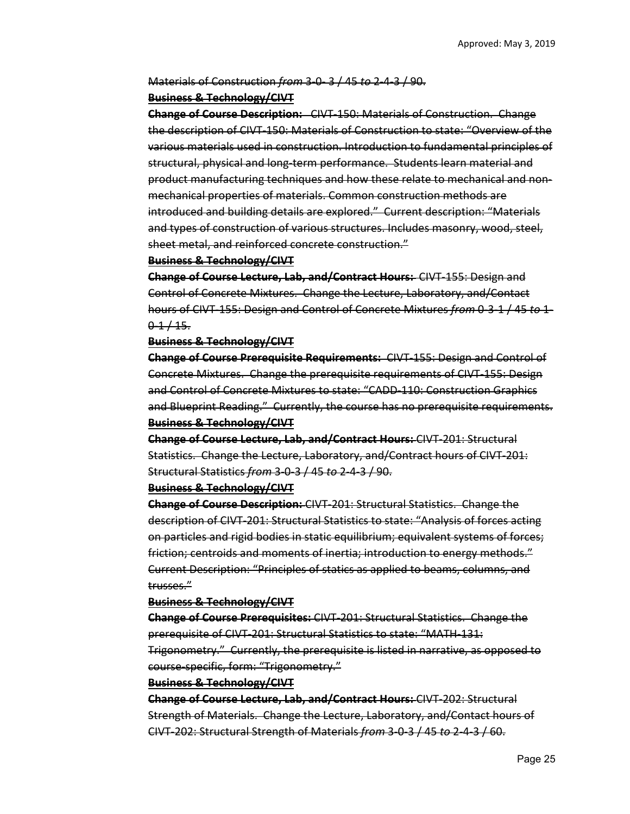## Materials of Construction *from* 3‐0‐ 3 / 45 *to* 2‐4‐3 / 90.

### **Business & Technology/CIVT**

**Change of Course Description:**  CIVT‐150: Materials of Construction. Change the description of CIVT‐150: Materials of Construction to state: "Overview of the various materials used in construction. Introduction to fundamental principles of structural, physical and long‐term performance. Students learn material and product manufacturing techniques and how these relate to mechanical and non‐ mechanical properties of materials. Common construction methods are introduced and building details are explored." Current description: "Materials and types of construction of various structures. Includes masonry, wood, steel, sheet metal, and reinforced concrete construction."

### **Business & Technology/CIVT**

**Change of Course Lecture, Lab, and/Contract Hours:**  CIVT‐155: Design and Control of Concrete Mixtures. Change the Lecture, Laboratory, and/Contact hours of CIVT‐155: Design and Control of Concrete Mixtures *from* 0‐3‐1 / 45 *to* 1‐  $0.1 + 15.$ 

### **Business & Technology/CIVT**

**Change of Course Prerequisite Requirements:**  CIVT‐155: Design and Control of Concrete Mixtures. Change the prerequisite requirements of CIVT‐155: Design and Control of Concrete Mixtures to state: "CADD‐110: Construction Graphics and Blueprint Reading." Currently, the course has no prerequisite requirements. **Business & Technology/CIVT** 

**Change of Course Lecture, Lab, and/Contract Hours:** CIVT‐201: Structural Statistics. Change the Lecture, Laboratory, and/Contract hours of CIVT‐201: Structural Statistics *from* 3‐0‐3 / 45 *to* 2‐4‐3 / 90.

### **Business & Technology/CIVT**

**Change of Course Description:** CIVT‐201: Structural Statistics. Change the description of CIVT‐201: Structural Statistics to state: "Analysis of forces acting on particles and rigid bodies in static equilibrium; equivalent systems of forces; friction; centroids and moments of inertia; introduction to energy methods." Current Description: "Principles of statics as applied to beams, columns, and trusses."

#### **Business & Technology/CIVT**

**Change of Course Prerequisites:** CIVT‐201: Structural Statistics. Change the prerequisite of CIVT‐201: Structural Statistics to state: "MATH‐131: Trigonometry." Currently, the prerequisite is listed in narrative, as opposed to course‐specific, form: "Trigonometry."

#### **Business & Technology/CIVT**

**Change of Course Lecture, Lab, and/Contract Hours:** CIVT‐202: Structural Strength of Materials. Change the Lecture, Laboratory, and/Contact hours of CIVT‐202: Structural Strength of Materials *from* 3‐0‐3 / 45 *to* 2‐4‐3 / 60.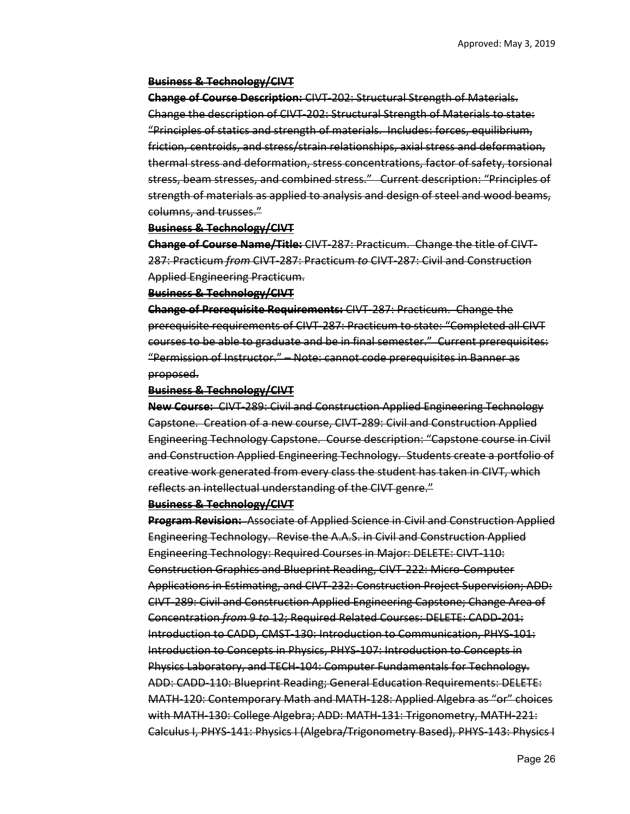#### **Business & Technology/CIVT**

**Change of Course Description:** CIVT‐202: Structural Strength of Materials. Change the description of CIVT‐202: Structural Strength of Materials to state: "Principles of statics and strength of materials. Includes: forces, equilibrium, friction, centroids, and stress/strain relationships, axial stress and deformation, thermal stress and deformation, stress concentrations, factor of safety, torsional stress, beam stresses, and combined stress." Current description: "Principles of strength of materials as applied to analysis and design of steel and wood beams, columns, and trusses."

#### **Business & Technology/CIVT**

**Change of Course Name/Title:** CIVT‐287: Practicum. Change the title of CIVT‐ 287: Practicum *from* CIVT‐287: Practicum *to* CIVT‐287: Civil and Construction Applied Engineering Practicum.

#### **Business & Technology/CIVT**

**Change of Prerequisite Requirements:** CIVT‐287: Practicum. Change the prerequisite requirements of CIVT‐287: Practicum to state: "Completed all CIVT courses to be able to graduate and be in final semester." Current prerequisites: "Permission of Instructor." – Note: cannot code prerequisites in Banner as proposed.

#### **Business & Technology/CIVT**

**New Course:** CIVT‐289: Civil and Construction Applied Engineering Technology Capstone. Creation of a new course, CIVT‐289: Civil and Construction Applied Engineering Technology Capstone. Course description: "Capstone course in Civil and Construction Applied Engineering Technology. Students create a portfolio of creative work generated from every class the student has taken in CIVT, which reflects an intellectual understanding of the CIVT genre."

#### **Business & Technology/CIVT**

**Program Revision:** Associate of Applied Science in Civil and Construction Applied Engineering Technology. Revise the A.A.S. in Civil and Construction Applied Engineering Technology: Required Courses in Major: DELETE: CIVT‐110: Construction Graphics and Blueprint Reading, CIVT‐222: Micro‐Computer Applications in Estimating, and CIVT‐232: Construction Project Supervision; ADD: CIVT‐289: Civil and Construction Applied Engineering Capstone; Change Area of Concentration *from* 9 *to* 12; Required Related Courses: DELETE: CADD‐201: Introduction to CADD, CMST 130: Introduction to Communication, PHYS 101: Introduction to Concepts in Physics, PHYS‐107: Introduction to Concepts in Physics Laboratory, and TECH‐104: Computer Fundamentals for Technology. ADD: CADD‐110: Blueprint Reading; General Education Requirements: DELETE: MATH‐120: Contemporary Math and MATH‐128: Applied Algebra as "or" choices with MATH‐130: College Algebra; ADD: MATH‐131: Trigonometry, MATH‐221: Calculus I, PHYS‐141: Physics I (Algebra/Trigonometry Based), PHYS‐143: Physics I